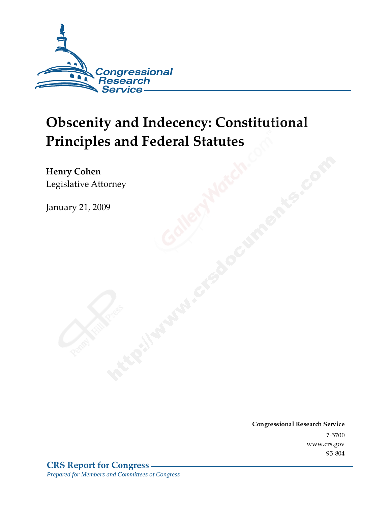

# **Obscenity and Indecency: Constitutional Principles and Federal Statutes**

Henry Cohen Legislative Attorney

January 21, 2009

Conglessional Research Service  $7 - 2700$ www.crs.gov  $70 - 00 +$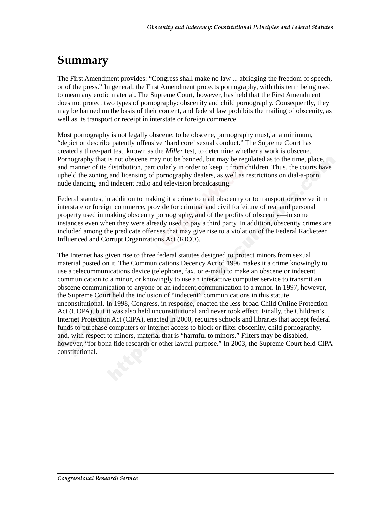## Summary

The First Amendment provides: "Congress shall make no law ... abridging the freedom of speech, or of the press." In general, the First Amendment protects pornography, with this term being used to mean any erotic material. The Supreme Court, however, has held that the First Amendment does not protect two types of pornography: obscenity and child pornography. Consequently, they may be banned on the basis of their content, and federal law prohibits the mailing of obscenity, as well as its transport or receipt in interstate or foreign commerce.

Most pornography is not legally obscene; to be obscene, pornography must, at a minimum, "depict or describe patently offensive 'hard core' sexual conduct." The Supreme Court has created a three-part test, known as the *Miller* test, to determine whether a work is obscene. Pornography that is not obscene may not be banned, but may be regulated as to the time, place, and manner of its distribution, particularly in order to keep it from children. Thus, the courts have upheld the zoning and licensing of pornography dealers, as well as restrictions on dial-a-porn, nude dancing, and indecent radio and television broadcasting.

Federal statutes, in addition to making it a crime to mail obscenity or to transport or receive it in interstate or foreign commerce, provide for criminal and civil forfeiture of real and personal property used in making obscenity pornography, and of the profits of obscenity—in some instances even when they were already used to pay a third party. In addition, obscenity crimes are included among the predicate offenses that may give rise to a violation of the Federal Racketeer Influenced and Corrupt Organizations Act (RICO).

The Internet has given rise to three federal statutes designed to protect minors from sexual material posted on it. The Communications Decency Act of 1996 makes it a crime knowingly to use a telecommunications device (telephone, fax, or e-mail) to make an obscene or indecent communication to a minor, or knowingly to use an interactive computer service to transmit an obscene communication to anyone or an indecent communication to a minor. In 1997, however, the Supreme Court held the inclusion of "indecent" communications in this statute unconstitutional. In 1998, Congress, in response, enacted the less-broad Child Online Protection Act (COPA), but it was also held unconstitutional and never took effect. Finally, the Children's Internet Protection Act (CIPA), enacted in 2000, requires schools and libraries that accept federal funds to purchase computers or Internet access to block or filter obscenity, child pornography, and, with respect to minors, material that is "harmful to minors." Filters may be disabled, however, "for bona fide research or other lawful purpose." In 2003, the Supreme Court held CIPA constitutional.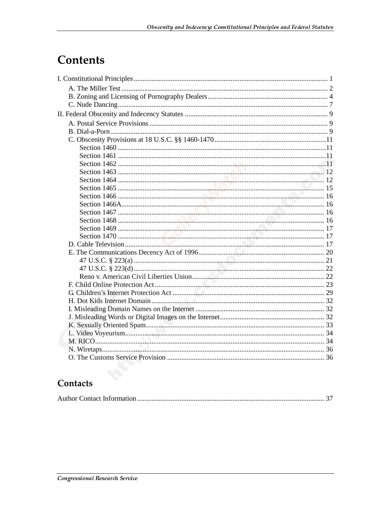## **Contents**

## Contacts

|--|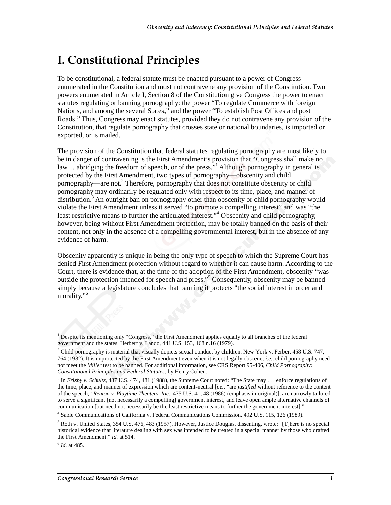## I. Constitutional Principles

To be constitutional, a federal statute must be enacted pursuant to a power of Congress enumerated in the Constitution and must not contravene any provision of the Constitution. Two powers enumerated in Article I, Section 8 of the Constitution give Congress the power to enact statutes regulating or banning pornography: the power "To regulate Commerce with foreign Nations, and among the several States," and the power "To establish Post Offices and post Roads." Thus, Congress may enact statutes, provided they do not contravene any provision of the Constitution, that regulate pornography that crosses state or national boundaries, is imported or exported, or is mailed.

The provision of the Constitution that federal statutes regulating pornography are most likely to be in danger of contravening is the First Amendment's provision that "Congress shall make no law ... abridging the freedom of speech, or of the press."<sup>1</sup> Although pornography in general is protected by the First Amendment, two types of pornography—obscenity and child pornography—are not.<sup>2</sup> Therefore, pornography that does not constitute obscenity or child pornography may ordinarily be regulated only with respect to its time, place, and manner of distribution.<sup>3</sup> An outright ban on pornography other than obscenity or child pornography would violate the First Amendment unless it served "to promote a compelling interest" and was "the least restrictive means to further the articulated interest."<sup>4</sup> Obscenity and child pornography, however, being without First Amendment protection, may be totally banned on the basis of their content, not only in the absence of a compelling governmental interest, but in the absence of any evidence of harm.

Obscenity apparently is unique in being the only type of speech to which the Supreme Court has denied First Amendment protection without regard to whether it can cause harm. According to the Court, there is evidence that, at the time of the adoption of the First Amendment, obscenity "was outside the protection intended for speech and press."<sup>5</sup> Consequently, obscenity may be banned simply because a legislature concludes that banning it protects "the social interest in order and morality."<sup>6</sup>

<sup>&</sup>lt;sup>1</sup> Despite its mentioning only "Congress," the First Amendment applies equally to all branches of the federal government and the states. Herbert v. Lando, 441 U.S. 153, 168 n.16 (1979).

<sup>&</sup>lt;sup>2</sup> Child pornography is material that visually depicts sexual conduct by children. New York v. Ferber, 458 U.S. 747, 764 (1982). It is unprotected by the First Amendment even when it is not legally obscene; *i.e.*, child pornography need not meet the *Miller* test to be banned. For additional information, see CRS Report 95-406, *Child Pornography: Constitutional Principles and Federal Statutes*, by Henry Cohen.

<sup>&</sup>lt;sup>3</sup> In *Frisby v. Schultz*, 487 U.S. 474, 481 (1988), the Supreme Court noted: "The State may . . . enforce regulations of the time, place, and manner of expression which are content-neutral [*i.e.*, "are *justified* without reference to the content of the speech," *Renton v. Playtime Theaters, Inc.*, 475 U.S. 41, 48 (1986) (emphasis in original)], are narrowly tailored to serve a significant [not necessarily a compelling] government interest, and leave open ample alternative channels of communication [but need not necessarily be the least restrictive means to further the government interest]."

<sup>4</sup> Sable Communications of California v. Federal Communications Commission, 492 U.S. 115, 126 (1989).

 $<sup>5</sup>$  Roth v. United States, 354 U.S. 476, 483 (1957). However, Justice Douglas, dissenting, wrote: "[T]here is no special</sup> historical evidence that literature dealing with sex was intended to be treated in a special manner by those who drafted the First Amendment." *Id.* at 514.

<sup>6</sup> *Id.* at 485.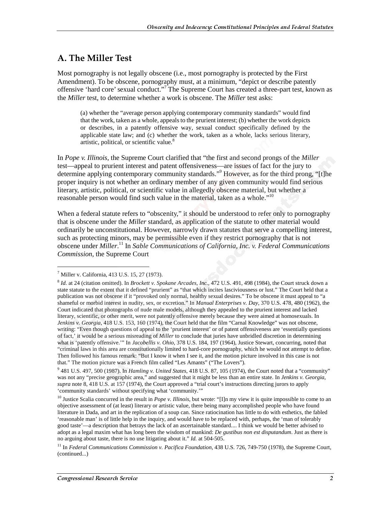### A. The Miller Test

Most pornography is not legally obscene (i.e., most pornography is protected by the First Amendment). To be obscene, pornography must, at a minimum, "depict or describe patently offensive 'hard core' sexual conduct."<sup>7</sup>The Supreme Court has created a three-part test, known as the *Miller* test, to determine whether a work is obscene. The *Miller* test asks:

(a) whether the "average person applying contemporary community standards" would find that the work, taken as a whole, appeals to the prurient interest; (b) whether the work depicts or describes, in a patently offensive way, sexual conduct specifically defined by the applicable state law; and (c) whether the work, taken as a whole, lacks serious literary, artistic, political, or scientific value.<sup>8</sup>

In *Pope v. Illinois*, the Supreme Court clarified that "the first and second prongs of the *Miller* test—appeal to prurient interest and patent offensiveness—are issues of fact for the jury to determine applying contemporary community standards."<sup>9</sup> However, as for the third prong, "[t]he proper inquiry is not whether an ordinary member of any given community would find serious literary, artistic, political, or scientific value in allegedly obscene material, but whether a reasonable person would find such value in the material, taken as a whole."<sup>10</sup>

When a federal statute refers to "obscenity," it should be understood to refer only to pornography that is obscene under the *Miller* standard, as application of the statute to other material would ordinarily be unconstitutional. However, narrowly drawn statutes that serve a compelling interest, such as protecting minors, may be permissible even if they restrict pornography that is not obscene under *Miller*. 11 In *Sable Communications of California, Inc. v. Federal Communications Commission*, the Supreme Court

<sup>7</sup> Miller v. California, 413 U.S. 15, 27 (1973).

<sup>8</sup> *Id.* at 24 (citation omitted). In *Brockett v. Spokane Arcades, Inc.*, 472 U.S. 491, 498 (1984), the Court struck down a state statute to the extent that it defined "prurient" as "that which incites lasciviousness or lust." The Court held that a publication was not obscene if it "provoked only normal, healthy sexual desires." To be obscene it must appeal to "a shameful or morbid interest in nudity, sex, or excretion." In *Manual Enterprises v. Day*, 370 U.S. 478, 480 (1962), the Court indicated that photographs of nude male models, although they appealed to the prurient interest and lacked literary, scientific, or other merit, were not patently offensive merely because they were aimed at homosexuals. In *Jenkins v. Georgia*, 418 U.S. 153, 160 (1974), the Court held that the film "Carnal Knowledge" was not obscene, writing: "Even though questions of appeal to the 'prurient interest' or of patent offensiveness are 'essentially questions of fact,' it would be a serious misreading of *Miller* to conclude that juries have unbridled discretion in determining what is 'patently offensive.'" In *Jacobellis v. Ohio*, 378 U.S. 184, 197 (1964), Justice Stewart, concurring, noted that "criminal laws in this area are constitutionally limited to hard-core pornography, which he would not attempt to define. Then followed his famous remark: "But I know it when I see it, and the motion picture involved in this case is not that." The motion picture was a French film called "Les Amants" ("The Lovers").

<sup>9</sup> 481 U.S. 497, 500 (1987). In *Hamling v. United States*, 418 U.S. 87, 105 (1974), the Court noted that a "community" was not any "precise geographic area," and suggested that it might be less than an entire state. In *Jenkins v. Georgia*, *supra* note 8, 418 U.S. at 157 (1974), the Court approved a "trial court's instructions directing jurors to apply 'community standards' without specifying what 'community.'"

<sup>&</sup>lt;sup>10</sup> Justice Scalia concurred in the result in *Pope v. Illinois*, but wrote: "[I]n my view it is quite impossible to come to an objective assessment of (at least) literary or artistic value, there being many accomplished people who have found literature in Dada, and art in the replication of a soup can. Since ratiocination has little to do with esthetics, the fabled 'reasonable man' is of little help in the inquiry, and would have to be replaced with, perhaps, the 'man of tolerably good taste'—a description that betrays the lack of an ascertainable standard.... I think we would be better advised to adopt as a legal maxim what has long been the wisdom of mankind: *De gustibus non est disputandum*. Just as there is no arguing about taste, there is no use litigating about it." *Id.* at 504-505.

<sup>11</sup> In *Federal Communications Commission v. Pacifica Foundation,* 438 U.S. 726, 749-750 (1978), the Supreme Court, (continued...)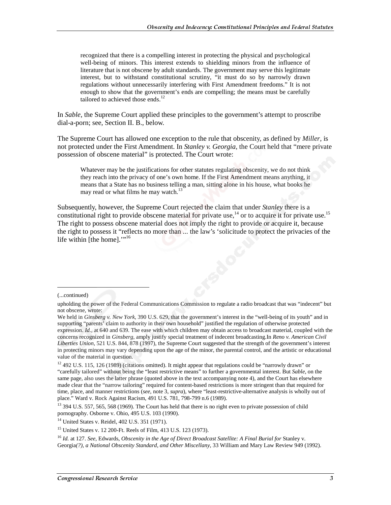recognized that there is a compelling interest in protecting the physical and psychological well-being of minors. This interest extends to shielding minors from the influence of literature that is not obscene by adult standards. The government may serve this legitimate interest, but to withstand constitutional scrutiny, "it must do so by narrowly drawn regulations without unnecessarily interfering with First Amendment freedoms." It is not enough to show that the government's ends are compelling; the means must be carefully tailored to achieved those ends.<sup>12</sup>

In *Sable*, the Supreme Court applied these principles to the government's attempt to proscribe dial-a-porn; see, Section II. B., below.

The Supreme Court has allowed one exception to the rule that obscenity, as defined by *Miller*, is not protected under the First Amendment. In *Stanley v. Georgia*, the Court held that "mere private possession of obscene material" is protected. The Court wrote:

Whatever may be the justifications for other statutes regulating obscenity, we do not think they reach into the privacy of one's own home. If the First Amendment means anything, it means that a State has no business telling a man, sitting alone in his house, what books he may read or what films he may watch.<sup>13</sup>

Subsequently, however, the Supreme Court rejected the claim that under *Stanley* there is a constitutional right to provide obscene material for private use,<sup>14</sup> or to acquire it for private use.<sup>15</sup> The right to possess obscene material does not imply the right to provide or acquire it, because the right to possess it "reflects no more than ... the law's 'solicitude to protect the privacies of the life within [the home]."<sup>16</sup>

<sup>(...</sup>continued)

upholding the power of the Federal Communications Commission to regulate a radio broadcast that was "indecent" but not obscene, wrote:

We held in *Ginsberg v. New York*, 390 U.S. 629, that the government's interest in the "well-being of its youth" and in supporting "parents' claim to authority in their own household" justified the regulation of otherwise protected expression. *Id.,* at 640 and 639. The ease with which children may obtain access to broadcast material, coupled with the concerns recognized in *Ginsberg*, amply justify special treatment of indecent broadcasting.In *Reno v. American Civil Liberties Union*, 521 U.S. 844, 878 (1997), the Supreme Court suggested that the strength of the government's interest in protecting minors may vary depending upon the age of the minor, the parental control, and the artistic or educational value of the material in question.

<sup>&</sup>lt;sup>12</sup> 492 U.S. 115, 126 (1989) (citations omitted). It might appear that regulations could be "narrowly drawn" or "carefully tailored" without being the "least restrictive means" to further a governmental interest. But *Sable*, on the same page, also uses the latter phrase (quoted above in the text accompanying note 4), and the Court has elsewhere made clear that the "narrow tailoring" required for content-based restrictions is more stringent than that required for time, place, and manner restrictions (*see*, note 3, *supra*), where "least-restrictive-alternative analysis is wholly out of place." Ward v. Rock Against Racism, 491 U.S. 781, 798-799 n.6 (1989).

<sup>&</sup>lt;sup>13</sup> 394 U.S. 557, 565, 568 (1969). The Court has held that there is no right even to private possession of child pornography. Osborne v. Ohio, 495 U.S. 103 (1990).

<sup>14</sup> United States v. Reidel, 402 U.S. 351 (1971).

<sup>15</sup> United States v. 12 200-Ft. Reels of Film, 413 U.S. 123 (1973).

<sup>16</sup> *Id.* at 127. *See*, Edwards, *Obscenity in the Age of Direct Broadcast Satellite: A Final Burial for* Stanley v. Georgia*(?), a National Obscenity Standard, and Other Miscellany*, 33 William and Mary Law Review 949 (1992).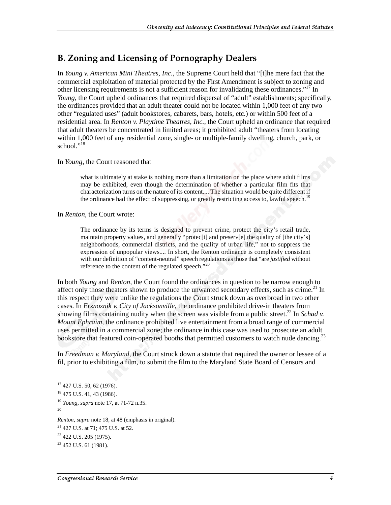### **B. Zoning and Licensing of Pornography Dealers**

In *Young v. American Mini Theatres, Inc.*, the Supreme Court held that "[t]he mere fact that the commercial exploitation of material protected by the First Amendment is subject to zoning and other licensing requirements is not a sufficient reason for invalidating these ordinances."<sup>17</sup> In *Young*, the Court upheld ordinances that required dispersal of "adult" establishments; specifically, the ordinances provided that an adult theater could not be located within 1,000 feet of any two other "regulated uses" (adult bookstores, cabarets, bars, hotels, etc.) or within 500 feet of a residential area. In *Renton v. Playtime Theatres, Inc.*, the Court upheld an ordinance that required that adult theaters be concentrated in limited areas; it prohibited adult "theaters from locating within 1,000 feet of any residential zone, single- or multiple-family dwelling, church, park, or school." $^{18}$ 

#### In *Young*, the Court reasoned that

what is ultimately at stake is nothing more than a limitation on the place where adult films may be exhibited, even though the determination of whether a particular film fits that characterization turns on the nature of its content.... The situation would be quite different if the ordinance had the effect of suppressing, or greatly restricting access to, lawful speech.<sup>19</sup>

In *Renton*, the Court wrote:

The ordinance by its terms is designed to prevent crime, protect the city's retail trade, maintain property values, and generally "protec[t] and preserv[e] the quality of [the city's] neighborhoods, commercial districts, and the quality of urban life," not to suppress the expression of unpopular views.... In short, the Renton ordinance is completely consistent with our definition of "content-neutral" speech regulations as those that "are *justified* without reference to the content of the regulated speech."<sup>20</sup>

In both *Young* and *Renton*, the Court found the ordinances in question to be narrow enough to affect only those theaters shown to produce the unwanted secondary effects, such as crime.<sup>21</sup> In this respect they were unlike the regulations the Court struck down as overbroad in two other cases. In *Erznoznik v. City of Jacksonville*, the ordinance prohibited drive-in theaters from showing films containing nudity when the screen was visible from a public street.<sup>22</sup> In *Schad v*. *Mount Ephraim*, the ordinance prohibited live entertainment from a broad range of commercial uses permitted in a commercial zone; the ordinance in this case was used to prosecute an adult bookstore that featured coin-operated booths that permitted customers to watch nude dancing.<sup>23</sup>

In *Freedman v. Maryland*, the Court struck down a statute that required the owner or lessee of a fil, prior to exhibiting a film, to submit the film to the Maryland State Board of Censors and

<sup>&</sup>lt;sup>17</sup> 427 U.S. 50, 62 (1976).

<sup>18 475</sup> U.S. 41, 43 (1986).

<sup>19</sup> *Young*, *supra* note 17, at 71-72 n.35. 20

*Renton*, *supra* note 18, at 48 (emphasis in original).

<sup>21 427</sup> U.S. at 71; 475 U.S. at 52.

 $22$  422 U.S. 205 (1975).

 $^{23}$  452 U.S. 61 (1981).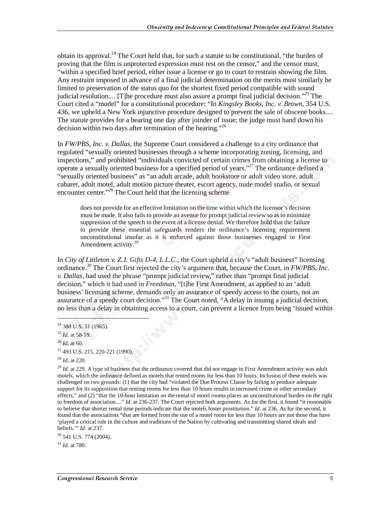obtain its approval.<sup>24</sup> The Court held that, for such a statute to be constitutional, "the burden of proving that the film is unprotected expression must rest on the censor," and the censor must, "within a specified brief period, either issue a license or go to court to restrain showing the film. Any restraint imposed in advance of a final judicial determination on the merits must similarly be limited to preservation of the status quo for the shortest fixed period compatible with sound judicial resolution.... [T]he procedure must also assure a prompt final judicial decision."<sup>25</sup> The Court cited a "model" for a constitutional procedure: "In *Kingsley Books, Inc. v. Brown*, 354 U.S. 436, we upheld a New York injunctive procedure designed to prevent the sale of obscene books.... The statute provides for a hearing one day after joinder of issue; the judge must hand down his decision within two days after termination of the hearing."<sup>26</sup>

In *FW/PBS, Inc. v. Dallas*, the Supreme Court considered a challenge to a city ordinance that regulated "sexually oriented businesses through a scheme incorporating zoning, licensing, and inspections," and prohibited "individuals convicted of certain crimes from obtaining a license to operate a sexually oriented business for a specified period of years."27 The ordinance defined a "sexually oriented business" as "an adult arcade, adult bookstore or adult video store, adult cabaret, adult motel, adult motion picture theater, escort agency, nude model studio, or sexual encounter center."28 The Court held that the licensing scheme

does not provide for an effective limitation on the time within which the licensor's decision must be made. It also fails to provide an avenue for prompt judicial review so as to minimize suppression of the speech in the event of a license denial. We therefore hold that the failure to provide these essential safeguards renders the ordinance's licensing requirement unconstitutional insofar as it is enforced against those businesses engaged in First Amendment activity.<sup>29</sup>

In *City of Littleton v. Z.J. Gifts D-4, L.L.C.*, the Court upheld a city's "adult business" licensing ordinance.30 The Court first rejected the city's argument that, because the Court, in *FW/PBS, Inc. v. Dallas*, had used the phrase "prompt judicial review," rather than "prompt final judicial decision," which it had used in *Freedman*, "[t]he First Amendment, as applied to an 'adult business' licensing scheme, demands only an assurance of speedy access to the courts, not an assurance of a speedy court decision."<sup>31</sup> The Court noted, "A delay in issuing a judicial decision, no less than a delay in obtaining access to a court, can prevent a licence from being 'issued within

 $\overline{a}$ 

<sup>29</sup> *Id.* at 229. A type of business that the ordinance covered that did not engage in First Amendment activity was adult motels, which the ordinance defined as motels that rented rooms for less than 10 hours. Inclusion of these motels was challenged on two grounds: (1) that the city had "violated the Due Process Clause by failing to produce adequate support for its supposition that renting rooms for less than 10 hours results in increased crime or other secondary effects," and (2) "that the 10-hour limitation on the rental of motel rooms places an unconstitutional burden on the right to freedom of association...." *Id.* at 236-237. The Court rejected both arguments. As for the first, it found "it reasonable to believe that shorter rental time periods indicate that the motels foster prostitution." *Id.* at 236. As for the second, it found that the associations "that are formed from the use of a motel room for less than 10 hours are not those that have 'played a critical role in the culture and traditions of the Nation by cultivating and transmitting shared ideals and beliefs.'" *Id.* at 237.

 $30$  541 U.S. 774 (2004).

<sup>31</sup> *Id*. at 780.

<sup>&</sup>lt;sup>24</sup> 380 U.S. 51 (1965).

<sup>25</sup> *Id*. at 58-59.

<sup>26</sup> *Id.* at 60.

<sup>27 493</sup> U.S. 215, 220-221 (1990).

<sup>28</sup> *Id*. at 220.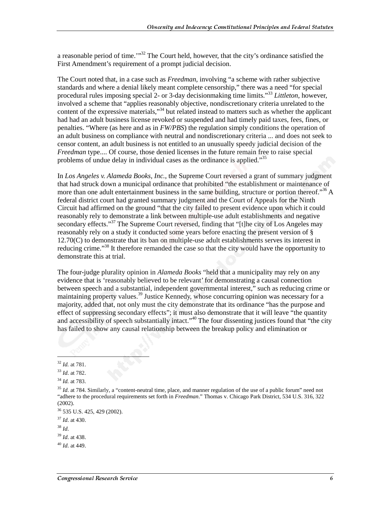a reasonable period of time.<sup>"32</sup> The Court held, however, that the city's ordinance satisfied the First Amendment's requirement of a prompt judicial decision.

The Court noted that, in a case such as *Freedman*, involving "a scheme with rather subjective standards and where a denial likely meant complete censorship," there was a need "for special procedural rules imposing special 2- or 3-day decisionmaking time limits."33 *Littleton*, however, involved a scheme that "applies reasonably objective, nondiscretionary criteria unrelated to the content of the expressive materials,"<sup>34</sup> but related instead to matters such as whether the applicant had had an adult business license revoked or suspended and had timely paid taxes, fees, fines, or penalties. "Where (as here and as in *FW/PBS*) the regulation simply conditions the operation of an adult business on compliance with neutral and nondiscretionary criteria ... and does not seek to censor content, an adult business is not entitled to an unusually speedy judicial decision of the *Freedman* type.... Of course, those denied licenses in the future remain free to raise special problems of undue delay in individual cases as the ordinance is applied."<sup>35</sup>

In *Los Angeles v. Alameda Books, Inc.*, the Supreme Court reversed a grant of summary judgment that had struck down a municipal ordinance that prohibited "the establishment or maintenance of more than one adult entertainment business in the same building, structure or portion thereof.<sup>356</sup> A federal district court had granted summary judgment and the Court of Appeals for the Ninth Circuit had affirmed on the ground "that the city failed to present evidence upon which it could reasonably rely to demonstrate a link between multiple-use adult establishments and negative secondary effects."<sup>37</sup> The Supreme Court reversed, finding that "[t]he city of Los Angeles may reasonably rely on a study it conducted some years before enacting the present version of § 12.70(C) to demonstrate that its ban on multiple-use adult establishments serves its interest in reducing crime."<sup>38</sup> It therefore remanded the case so that the city would have the opportunity to demonstrate this at trial.

The four-judge plurality opinion in *Alameda Books* "held that a municipality may rely on any evidence that is 'reasonably believed to be relevant' for demonstrating a causal connection between speech and a substantial, independent governmental interest," such as reducing crime or maintaining property values.<sup>39</sup> Justice Kennedy, whose concurring opinion was necessary for a majority, added that, not only must the city demonstrate that its ordinance "has the purpose and effect of suppressing secondary effects"; it must also demonstrate that it will leave "the quantity" and accessibility of speech substantially intact."<sup>40</sup> The four dissenting justices found that "the city" has failed to show any causal relationship between the breakup policy and elimination or

1

<sup>32</sup> *Id.* at 781.

<sup>33</sup> *Id*. at 782.

<sup>34</sup> *Id.* at 783.

<sup>&</sup>lt;sup>35</sup> *Id.* at 784. Similarly, a "content-neutral time, place, and manner regulation of the use of a public forum" need not "adhere to the procedural requirements set forth in *Freedman*." Thomas v. Chicago Park District, 534 U.S. 316, 322 (2002).

<sup>36 535</sup> U.S. 425, 429 (2002).

<sup>37</sup> *Id*. at 430.

<sup>38</sup> *Id*.

<sup>39</sup> *Id*. at 438.

<sup>40</sup> *Id*. at 449.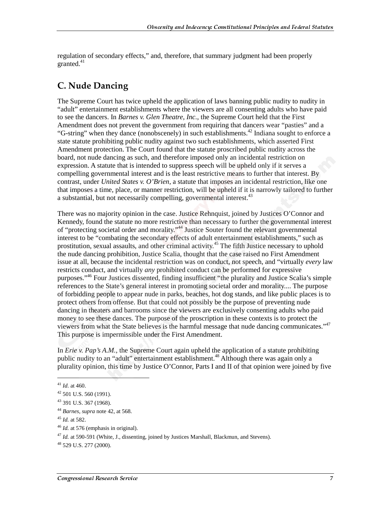regulation of secondary effects," and, therefore, that summary judgment had been properly granted.<sup>41</sup>

## **C. Nude Dancing**

The Supreme Court has twice upheld the application of laws banning public nudity to nudity in "adult" entertainment establishments where the viewers are all consenting adults who have paid to see the dancers. In *Barnes v. Glen Theatre, Inc.*, the Supreme Court held that the First Amendment does not prevent the government from requiring that dancers wear "pasties" and a "G-string" when they dance (nonobscenely) in such establishments.<sup>42</sup> Indiana sought to enforce a state statute prohibiting public nudity against two such establishments, which asserted First Amendment protection. The Court found that the statute proscribed public nudity across the board, not nude dancing as such, and therefore imposed only an incidental restriction on expression. A statute that is intended to suppress speech will be upheld only if it serves a compelling governmental interest and is the least restrictive means to further that interest. By contrast, under *United States v. O'Brien*, a statute that imposes an incidental restriction, like one that imposes a time, place, or manner restriction, will be upheld if it is narrowly tailored to further a substantial, but not necessarily compelling, governmental interest.<sup>43</sup>

There was no majority opinion in the case. Justice Rehnquist, joined by Justices O'Connor and Kennedy, found the statute no more restrictive than necessary to further the governmental interest of "protecting societal order and morality."44 Justice Souter found the relevant governmental interest to be "combating the secondary effects of adult entertainment establishments," such as prostitution, sexual assaults, and other criminal activity.45 The fifth Justice necessary to uphold the nude dancing prohibition, Justice Scalia, thought that the case raised no First Amendment issue at all, because the incidental restriction was on conduct, not speech, and "virtually *every* law restricts conduct, and virtually *any* prohibited conduct can be performed for expressive purposes."46 Four Justices dissented, finding insufficient "the plurality and Justice Scalia's simple references to the State's general interest in promoting societal order and morality.... The purpose of forbidding people to appear nude in parks, beaches, hot dog stands, and like public places is to protect others from offense. But that could not possibly be the purpose of preventing nude dancing in theaters and barrooms since the viewers are exclusively consenting adults who paid money to see these dances. The purpose of the proscription in these contexts is to protect the viewers from what the State believes is the harmful message that nude dancing communicates."47 This purpose is impermissible under the First Amendment.

In *Erie v. Pap's A.M.*, the Supreme Court again upheld the application of a statute prohibiting public nudity to an "adult" entertainment establishment.<sup>48</sup> Although there was again only a plurality opinion, this time by Justice O'Connor, Parts I and II of that opinion were joined by five

<sup>41</sup> *Id*. at 460.

 $42$  501 U.S. 560 (1991).

<sup>43 391</sup> U.S. 367 (1968).

<sup>44</sup> *Barnes*, *supra* note 42, at 568.

<sup>45</sup> *Id.* at 582.

<sup>46</sup> *Id.* at 576 (emphasis in original).

<sup>47</sup> *Id.* at 590-591 (White, J., dissenting, joined by Justices Marshall, Blackmun, and Stevens).

 $48$  529 U.S. 277 (2000).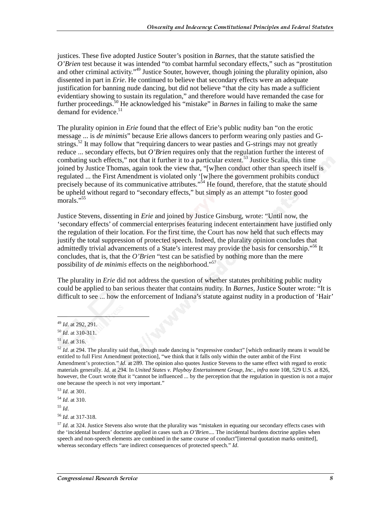justices. These five adopted Justice Souter's position in *Barnes*, that the statute satisfied the *O'Brien* test because it was intended "to combat harmful secondary effects," such as "prostitution and other criminal activity."<sup>49</sup> Justice Souter, however, though joining the plurality opinion, also dissented in part in *Erie*. He continued to believe that secondary effects were an adequate justification for banning nude dancing, but did not believe "that the city has made a sufficient evidentiary showing to sustain its regulation," and therefore would have remanded the case for further proceedings.50 He acknowledged his "mistake" in *Barnes* in failing to make the same demand for evidence. $51$ 

The plurality opinion in *Erie* found that the effect of Erie's public nudity ban "on the erotic message ... is *de minimis*" because Erie allows dancers to perform wearing only pasties and Gstrings.<sup>52</sup> It may follow that "requiring dancers to wear pasties and G-strings may not greatly reduce ... secondary effects, but *O'Brien* requires only that the regulation further the interest of combating such effects," not that it further it to a particular extent.<sup>53</sup> Justice Scalia, this time joined by Justice Thomas, again took the view that, "[w]hen conduct other than speech itself is regulated ... the First Amendment is violated only '[w]here the government prohibits conduct precisely because of its communicative attributes."<sup>54</sup> He found, therefore, that the statute should be upheld without regard to "secondary effects," but simply as an attempt "to foster good morals."<sup>55</sup>

Justice Stevens, dissenting in *Erie* and joined by Justice Ginsburg, wrote: "Until now, the 'secondary effects' of commercial enterprises featuring indecent entertainment have justified only the regulation of their location. For the first time, the Court has now held that such effects may justify the total suppression of protected speech. Indeed, the plurality opinion concludes that admittedly trivial advancements of a State's interest may provide the basis for censorship."<sup>56</sup> It concludes, that is, that the *O'Brien* "test can be satisfied by nothing more than the mere possibility of *de minimis* effects on the neighborhood."57

The plurality in *Erie* did not address the question of whether statutes prohibiting public nudity could be applied to ban serious theater that contains nudity. In *Barnes*, Justice Souter wrote: "It is difficult to see ... how the enforcement of Indiana's statute against nudity in a production of 'Hair'

 $\overline{a}$ 

<sup>54</sup> *Id*. at 310.

<sup>56</sup> *Id*. at 317-318.

<sup>49</sup> *Id*. at 292, 291.

<sup>50</sup> *Id*. at 310-311.

<sup>51</sup> *Id*. at 316.

<sup>&</sup>lt;sup>52</sup> *Id.* at 294. The plurality said that, though nude dancing is "expressive conduct" [which ordinarily means it would be entitled to full First Amendment protection], "we think that it falls only within the outer ambit of the First Amendment's protection." *Id*. at 289. The opinion also quotes Justice Stevens to the same effect with regard to erotic materials generally. *Id*. at 294. In *United States v. Playboy Entertainment Group, Inc.*, *infra* note 108, 529 U.S. at 826, however, the Court wrote that it "cannot be influenced ... by the perception that the regulation in question is not a major one because the speech is not very important."

<sup>53</sup> *Id*. at 301.

<sup>55</sup> *Id*.

<sup>57</sup> *Id*. at 324. Justice Stevens also wrote that the plurality was "mistaken in equating our secondary effects cases with the 'incidental burdens' doctrine applied in cases such as *O'Brien*.... The incidental burdens doctrine applies when speech and non-speech elements are combined in the same course of conduct"[internal quotation marks omitted], whereas secondary effects "are indirect consequences of protected speech." *Id*.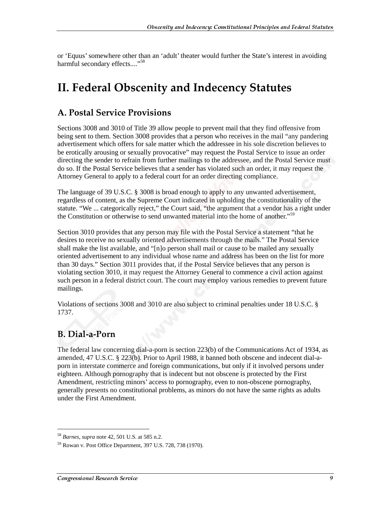or 'Equus' somewhere other than an 'adult' theater would further the State's interest in avoiding harmful secondary effects...."<sup>58</sup>

## **II. Federal Obscenity and Indecency Statutes**

### A. Postal Service Provisions

Sections 3008 and 3010 of Title 39 allow people to prevent mail that they find offensive from being sent to them. Section 3008 provides that a person who receives in the mail "any pandering advertisement which offers for sale matter which the addressee in his sole discretion believes to be erotically arousing or sexually provocative" may request the Postal Service to issue an order directing the sender to refrain from further mailings to the addressee, and the Postal Service must do so. If the Postal Service believes that a sender has violated such an order, it may request the Attorney General to apply to a federal court for an order directing compliance.

The language of 39 U.S.C. § 3008 is broad enough to apply to any unwanted advertisement, regardless of content, as the Supreme Court indicated in upholding the constitutionality of the statute. "We ... categorically reject," the Court said, "the argument that a vendor has a right under the Constitution or otherwise to send unwanted material into the home of another."<sup>59</sup>

Section 3010 provides that any person may file with the Postal Service a statement "that he desires to receive no sexually oriented advertisements through the mails." The Postal Service shall make the list available, and "[n]o person shall mail or cause to be mailed any sexually oriented advertisement to any individual whose name and address has been on the list for more than 30 days." Section 3011 provides that, if the Postal Service believes that any person is violating section 3010, it may request the Attorney General to commence a civil action against such person in a federal district court. The court may employ various remedies to prevent future mailings.

Violations of sections 3008 and 3010 are also subject to criminal penalties under 18 U.S.C. § 1737.

## B. Dial-a-Porn

j

The federal law concerning dial-a-porn is section 223(b) of the Communications Act of 1934, as amended, 47 U.S.C. § 223(b). Prior to April 1988, it banned both obscene and indecent dial-aporn in interstate commerce and foreign communications, but only if it involved persons under eighteen. Although pornography that is indecent but not obscene is protected by the First Amendment, restricting minors' access to pornography, even to non-obscene pornography, generally presents no constitutional problems, as minors do not have the same rights as adults under the First Amendment.

<sup>58</sup> *Barnes*, *supra* note 42, 501 U.S. at 585 n.2.

<sup>59</sup> Rowan v. Post Office Department, 397 U.S. 728, 738 (1970).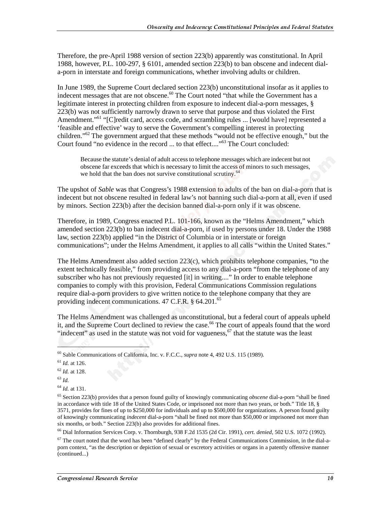Therefore, the pre-April 1988 version of section 223(b) apparently was constitutional. In April 1988, however, P.L. 100-297, § 6101, amended section 223(b) to ban obscene and indecent diala-porn in interstate and foreign communications, whether involving adults or children.

In June 1989, the Supreme Court declared section 223(b) unconstitutional insofar as it applies to indecent messages that are not obscene.<sup>60</sup> The Court noted "that while the Government has a legitimate interest in protecting children from exposure to indecent dial-a-porn messages, § 223(b) was not sufficiently narrowly drawn to serve that purpose and thus violated the First Amendment."<sup>61</sup> "[C]redit card, access code, and scrambling rules ... [would have] represented a 'feasible and effective' way to serve the Government's compelling interest in protecting children."62 The government argued that these methods "would not be effective enough," but the Court found "no evidence in the record ... to that effect...."<sup>63</sup> The Court concluded:

Because the statute's denial of adult access to telephone messages which are indecent but not obscene far exceeds that which is necessary to limit the access of minors to such messages, we hold that the ban does not survive constitutional scrutiny.<sup>64</sup>

The upshot of *Sable* was that Congress's 1988 extension to adults of the ban on dial-a-porn that is indecent but not obscene resulted in federal law's not banning such dial-a-porn at all, even if used by minors. Section 223(b) after the decision banned dial-a-porn only if it was obscene.

Therefore, in 1989, Congress enacted P.L. 101-166, known as the "Helms Amendment," which amended section 223(b) to ban indecent dial-a-porn, if used by persons under 18. Under the 1988 law, section 223(b) applied "in the District of Columbia or in interstate or foreign communications"; under the Helms Amendment, it applies to all calls "within the United States."

The Helms Amendment also added section 223(c), which prohibits telephone companies, "to the extent technically feasible," from providing access to any dial-a-porn "from the telephone of any subscriber who has not previously requested [it] in writing...." In order to enable telephone companies to comply with this provision, Federal Communications Commission regulations require dial-a-porn providers to give written notice to the telephone company that they are providing indecent communications. 47 C.F.R. § 64.201.<sup>65</sup>

The Helms Amendment was challenged as unconstitutional, but a federal court of appeals upheld it, and the Supreme Court declined to review the case.<sup>66</sup> The court of appeals found that the word "indecent" as used in the statute was not void for vagueness,  $67$  that the statute was the least

<sup>60</sup> Sable Communications of California, Inc. v. F.C.C., *supra* note 4, 492 U.S. 115 (1989).

<sup>61</sup> *Id.* at 126.

<sup>62</sup> *Id.* at 128.

<sup>63</sup> *Id.*

<sup>64</sup> *Id.* at 131.

<sup>65</sup> Section 223(b) provides that a person found guilty of knowingly communicating *obscene* dial-a-porn "shall be fined in accordance with title 18 of the United States Code, or imprisoned not more than two years, or both." Title 18, § 3571, provides for fines of up to \$250,000 for individuals and up to \$500,000 for organizations. A person found guilty of knowingly communicating *indecent* dial-a-porn "shall be fined not more than \$50,000 or imprisoned not more than six months, or both." Section 223(b) also provides for additional fines.

<sup>66</sup> Dial Information Services Corp. v. Thornburgh, 938 F.2d 1535 (2d Cir. 1991), *cert. denied*, 502 U.S. 1072 (1992).

 $67$  The court noted that the word has been "defined clearly" by the Federal Communications Commission, in the dial-aporn context, "as the description or depiction of sexual or excretory activities or organs in a patently offensive manner (continued...)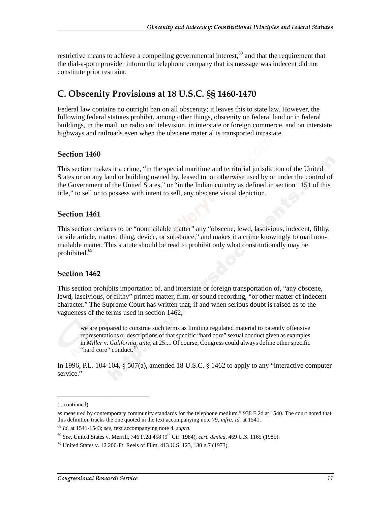restrictive means to achieve a compelling governmental interest, $^{68}$  and that the requirement that the dial-a-porn provider inform the telephone company that its message was indecent did not constitute prior restraint.

## C. Obscenity Provisions at 18 U.S.C. SS 1460-1470

Federal law contains no outright ban on all obscenity; it leaves this to state law. However, the following federal statutes prohibit, among other things, obscenity on federal land or in federal buildings, in the mail, on radio and television, in interstate or foreign commerce, and on interstate highways and railroads even when the obscene material is transported intrastate.

#### **Section 1460**

This section makes it a crime, "in the special maritime and territorial jurisdiction of the United States or on any land or building owned by, leased to, or otherwise used by or under the control of the Government of the United States," or "in the Indian country as defined in section 1151 of this title," to sell or to possess with intent to sell, any obscene visual depiction.

#### **Section 1461**

This section declares to be "nonmailable matter" any "obscene, lewd, lascivious, indecent, filthy, or vile article, matter, thing, device, or substance," and makes it a crime knowingly to mail nonmailable matter. This statute should be read to prohibit only what constitutionally may be prohibited.<sup>69</sup>

#### **Section 1462**

This section prohibits importation of, and interstate or foreign transportation of, "any obscene, lewd, lascivious, or filthy" printed matter, film, or sound recording, "or other matter of indecent character." The Supreme Court has written that, if and when serious doubt is raised as to the vagueness of the terms used in section 1462,

we are prepared to construe such terms as limiting regulated material to patently offensive representations or descriptions of that specific "hard core" sexual conduct given as examples in *Miller* v. *California*, *ante*, at 25.... Of course, Congress could always define other specific "hard core" conduct.<sup>70</sup>

In 1996, P.L. 104-104,  $\S 507(a)$ , amended 18 U.S.C.  $\S 1462$  to apply to any "interactive computer service."

<sup>(...</sup>continued)

as measured by contemporary community standards for the telephone medium." 938 F.2d at 1540. The court noted that this definition tracks the one quoted in the text accompanying note 79, *infra*. *Id.* at 1541.

<sup>68</sup> *Id.* at 1541-1543; *see*, text accompanying note 4, *supra.*

<sup>69</sup> *See*, United States v. Merrill, 746 F.2d 458 (9th Cir. 1984), *cert. denied*, 469 U.S. 1165 (1985).

 $^{70}$  United States v. 12 200-Ft. Reels of Film, 413 U.S. 123, 130 n.7 (1973).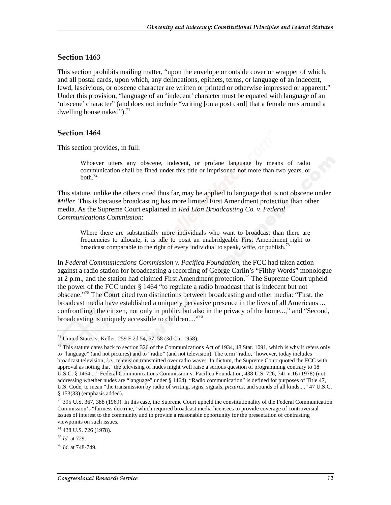#### Section 1463

This section prohibits mailing matter, "upon the envelope or outside cover or wrapper of which, and all postal cards, upon which, any delineations, epithets, terms, or language of an indecent, lewd, lascivious, or obscene character are written or printed or otherwise impressed or apparent." Under this provision, "language of an 'indecent' character must be equated with language of an 'obscene' character" (and does not include "writing [on a post card] that a female runs around a dwelling house naked"). $^{71}$ 

#### **Section 1464**

This section provides, in full:

Whoever utters any obscene, indecent, or profane language by means of radio communication shall be fined under this title or imprisoned not more than two years, or both. $^{72}$ 

This statute, unlike the others cited thus far, may be applied to language that is not obscene under *Miller*. This is because broadcasting has more limited First Amendment protection than other media. As the Supreme Court explained in *Red Lion Broadcasting Co. v. Federal Communications Commission*:

Where there are substantially more individuals who want to broadcast than there are frequencies to allocate, it is idle to posit an unabridgeable First Amendment right to broadcast comparable to the right of every individual to speak, write, or publish.<sup>73</sup>

In *Federal Communications Commission v. Pacifica Foundation*, the FCC had taken action against a radio station for broadcasting a recording of George Carlin's "Filthy Words" monologue at 2 p.m., and the station had claimed First Amendment protection.<sup>74</sup> The Supreme Court upheld the power of the FCC under § 1464 "to regulate a radio broadcast that is indecent but not obscene."75 The Court cited two distinctions between broadcasting and other media: "First, the broadcast media have established a uniquely pervasive presence in the lives of all Americans ... confront[ing] the citizen, not only in public, but also in the privacy of the home...," and "Second, broadcasting is uniquely accessible to children....<sup>76</sup>

<sup>71</sup> United States v. Keller, 259 F.2d 54, 57, 58 (3d Cir. 1958).

 $72$  This statute dates back to section 326 of the Communications Act of 1934, 48 Stat. 1091, which is why it refers only to "language" (and not pictures) and to "radio" (and not television). The term "radio," however, today includes broadcast television; *i.e.*, television transmitted over radio waves. In dictum, the Supreme Court quoted the FCC with approval as noting that "the televising of nudes might well raise a serious question of programming contrary to 18 U.S.C. § 1464...." Federal Communications Commission v. Pacifica Foundation, 438 U.S. 726, 741 n.16 (1978) (not addressing whether nudes are "language" under § 1464). "Radio communication" is defined for purposes of Title 47, U.S. Code, to mean "the transmission by radio of writing, signs, signals, *pictures*, and sounds of all kinds...." 47 U.S.C. § 153(33) (emphasis added).

<sup>73 395</sup> U.S. 367, 388 (1969). In this case, the Supreme Court upheld the constitutionality of the Federal Communication Commission's "fairness doctrine," which required broadcast media licensees to provide coverage of controversial issues of interest to the community and to provide a reasonable opportunity for the presentation of contrasting viewpoints on such issues.

<sup>74 438</sup> U.S. 726 (1978).

<sup>75</sup> *Id.* at 729.

<sup>76</sup> *Id.* at 748-749.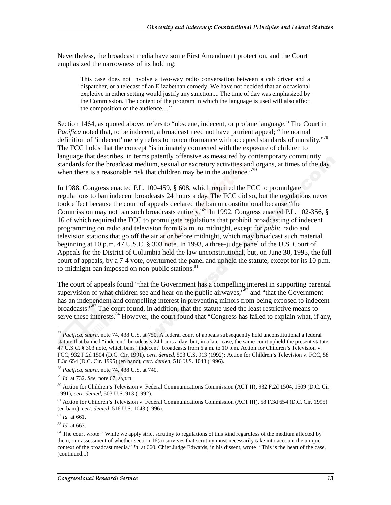Nevertheless, the broadcast media have some First Amendment protection, and the Court emphasized the narrowness of its holding:

This case does not involve a two-way radio conversation between a cab driver and a dispatcher, or a telecast of an Elizabethan comedy. We have not decided that an occasional expletive in either setting would justify any sanction.... The time of day was emphasized by the Commission. The content of the program in which the language is used will also affect the composition of the audience....

Section 1464, as quoted above, refers to "obscene, indecent, or profane language." The Court in *Pacifica* noted that, to be indecent, a broadcast need not have prurient appeal; "the normal definition of 'indecent' merely refers to nonconformance with accepted standards of morality."<sup>78</sup> The FCC holds that the concept "is intimately connected with the exposure of children to language that describes, in terms patently offensive as measured by contemporary community standards for the broadcast medium, sexual or excretory activities and organs, at times of the day when there is a reasonable risk that children may be in the audience."<sup>79</sup>

In 1988, Congress enacted P.L. 100-459, § 608, which required the FCC to promulgate regulations to ban indecent broadcasts 24 hours a day. The FCC did so, but the regulations never took effect because the court of appeals declared the ban unconstitutional because "the Commission may not ban such broadcasts entirely."<sup>80</sup> In 1992, Congress enacted P.L. 102-356, § 16 of which required the FCC to promulgate regulations that prohibit broadcasting of indecent programming on radio and television from 6 a.m. to midnight, except for *public* radio and television stations that go off the air at or before midnight, which may broadcast such material beginning at 10 p.m. 47 U.S.C. § 303 note. In 1993, a three-judge panel of the U.S. Court of Appeals for the District of Columbia held the law unconstitutional, but, on June 30, 1995, the full court of appeals, by a 7-4 vote, overturned the panel and upheld the statute, except for its 10 p.m. to-midnight ban imposed on non-public stations. $81$ 

The court of appeals found "that the Government has a compelling interest in supporting parental supervision of what children see and hear on the public airwaves,"<sup>82</sup> and "that the Government" has an independent and compelling interest in preventing minors from being exposed to indecent broadcasts.<sup>583</sup> The court found, in addition, that the statute used the least restrictive means to serve these interests.<sup>84</sup> However, the court found that "Congress has failed to explain what, if any,

<sup>77</sup> *Pacifica*, *supra*, note 74, 438 U.S. at 750. A federal court of appeals subsequently held unconstitutional a federal statute that banned "indecent" broadcasts 24 hours a day, but, in a later case, the same court upheld the present statute, 47 U.S.C. § 303 note, which bans "indecent" broadcasts from 6 a.m. to 10 p.m. Action for Children's Television v. FCC, 932 F.2d 1504 (D.C. Cir. 1991), *cert. denied*, 503 U.S. 913 (1992); Action for Children's Television v. FCC, 58 F.3d 654 (D.C. Cir. 1995) (en banc), *cert. denied*, 516 U.S. 1043 (1996).

<sup>78</sup> *Pacifica*, *supra*, note 74, 438 U.S. at 740.

<sup>79</sup> *Id.* at 732. *See*, note 67, *supra*.

<sup>80</sup> Action for Children's Television v. Federal Communications Commission (ACT II), 932 F.2d 1504, 1509 (D.C. Cir. 1991), *cert. denied*, 503 U.S. 913 (1992).

<sup>&</sup>lt;sup>81</sup> Action for Children's Television v. Federal Communications Commission (ACT III), 58 F.3d 654 (D.C. Cir. 1995) (en banc), *cert. denied*, 516 U.S. 1043 (1996).

<sup>82</sup> *Id.* at 661.

<sup>83</sup> *Id.* at 663.

<sup>&</sup>lt;sup>84</sup> The court wrote: "While we apply strict scrutiny to regulations of this kind regardless of the medium affected by them, our assessment of whether section 16(a) survives that scrutiny must necessarily take into account the unique context of the broadcast media." *Id*. at 660. Chief Judge Edwards, in his dissent, wrote: "This is the heart of the case, (continued...)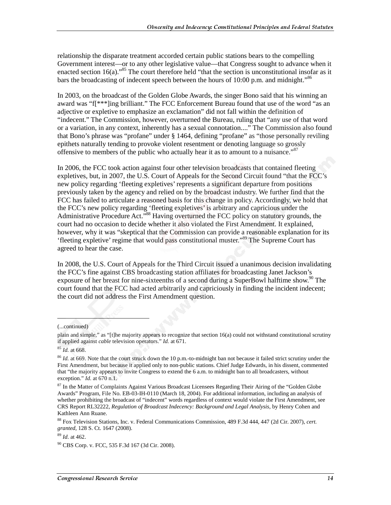relationship the disparate treatment accorded certain public stations bears to the compelling Government interest—or to any other legislative value—that Congress sought to advance when it enacted section  $16(a)$ ."<sup>85</sup> The court therefore held "that the section is unconstitutional insofar as it bars the broadcasting of indecent speech between the hours of 10:00 p.m. and midnight.<sup>86</sup>

In 2003, on the broadcast of the Golden Globe Awards, the singer Bono said that his winning an award was "f[\*\*\*]ing brilliant." The FCC Enforcement Bureau found that use of the word "as an adjective or expletive to emphasize an exclamation" did not fall within the definition of "indecent." The Commission, however, overturned the Bureau, ruling that "any use of that word or a variation, in any context, inherently has a sexual connotation...." The Commission also found that Bono's phrase was "profane" under § 1464, defining "profane" as "those personally reviling epithets naturally tending to provoke violent resentment or denoting language so grossly offensive to members of the public who actually hear it as to amount to a nuisance."<sup>87</sup>

In 2006, the FCC took action against four other television broadcasts that contained fleeting expletives, but, in 2007, the U.S. Court of Appeals for the Second Circuit found "that the FCC's new policy regarding 'fleeting expletives' represents a significant departure from positions previously taken by the agency and relied on by the broadcast industry. We further find that the FCC has failed to articulate a reasoned basis for this change in policy. Accordingly, we hold that the FCC's new policy regarding 'fleeting expletives' is arbitrary and capricious under the Administrative Procedure Act."<sup>88</sup> Having overturned the FCC policy on statutory grounds, the court had no occasion to decide whether it also violated the First Amendment. It explained, however, why it was "skeptical that the Commission can provide a reasonable explanation for its 'fleeting expletive' regime that would pass constitutional muster."89 The Supreme Court has agreed to hear the case.

In 2008, the U.S. Court of Appeals for the Third Circuit issued a unanimous decision invalidating the FCC's fine against CBS broadcasting station affiliates for broadcasting Janet Jackson's exposure of her breast for nine-sixteenths of a second during a SuperBowl halftime show.<sup>90</sup> The court found that the FCC had acted arbitrarily and capriciously in finding the incident indecent; the court did not address the First Amendment question.

<sup>(...</sup>continued)

plain and simple," as "[t]he majority appears to recognize that section 16(a) could not withstand constitutional scrutiny if applied against *cable* television operators." *Id.* at 671.

<sup>85</sup> *Id.* at 668.

<sup>&</sup>lt;sup>86</sup> *Id.* at 669. Note that the court struck down the 10 p.m.-to-midnight ban not because it failed strict scrutiny under the First Amendment, but because it applied only to non-public stations. Chief Judge Edwards, in his dissent, commented that "the majority appears to invite Congress to extend the 6 a.m. to midnight ban to all broadcasters, without exception." *Id.* at 670 n.1.

<sup>&</sup>lt;sup>87</sup> In the Matter of Complaints Against Various Broadcast Licensees Regarding Their Airing of the "Golden Globe Awards" Program, File No. EB-03-IH-0110 (March 18, 2004). For additional information, including an analysis of whether prohibiting the broadcast of "indecent" words regardless of context would violate the First Amendment, see CRS Report RL32222, *Regulation of Broadcast Indecency: Background and Legal Analysis*, by Henry Cohen and Kathleen Ann Ruane.

<sup>88</sup> Fox Television Stations, Inc. v. Federal Communications Commission, 489 F.3d 444, 447 (2d Cir. 2007), *cert. granted*, 128 S. Ct. 1647 (2008).

<sup>89</sup> *Id*. at 462.

<sup>90</sup> CBS Corp. v. FCC, 535 F.3d 167 (3d Cir. 2008).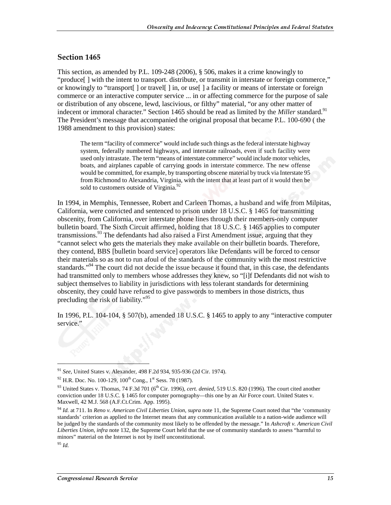#### Section 1465

This section, as amended by P.L. 109-248 (2006), § 506, makes it a crime knowingly to "produce[ ] with the intent to transport. distribute, or transmit in interstate or foreign commerce," or knowingly to "transport[ ] or travel[ ] in, or use[ ] a facility or means of interstate or foreign commerce or an interactive computer service ... in or affecting commerce for the purpose of sale or distribution of any obscene, lewd, lascivious, or filthy" material, "or any other matter of indecent or immoral character." Section 1465 should be read as limited by the *Miller* standard.<sup>91</sup> The President's message that accompanied the original proposal that became P.L. 100-690 ( the 1988 amendment to this provision) states:

The term "facility of commerce" would include such things as the federal interstate highway system, federally numbered highways, and interstate railroads, even if such facility were used only intrastate. The term "means of interstate commerce" would include motor vehicles, boats, and airplanes capable of carrying goods in interstate commerce. The new offense would be committed, for example, by transporting obscene material by truck via Interstate 95 from Richmond to Alexandria, Virginia, with the intent that at least part of it would then be sold to customers outside of Virginia.<sup>92</sup>

In 1994, in Memphis, Tennessee, Robert and Carleen Thomas, a husband and wife from Milpitas, California, were convicted and sentenced to prison under 18 U.S.C. § 1465 for transmitting obscenity, from California, over interstate phone lines through their members-only computer bulletin board. The Sixth Circuit affirmed, holding that 18 U.S.C. § 1465 applies to computer transmissions.<sup>93</sup> The defendants had also raised a First Amendment issue, arguing that they "cannot select who gets the materials they make available on their bulletin boards. Therefore, they contend, BBS [bulletin board service] operators like Defendants will be forced to censor their materials so as not to run afoul of the standards of the community with the most restrictive standards."<sup>94</sup> The court did not decide the issue because it found that, in this case, the defendants had transmitted only to members whose addresses they knew, so "[i]f Defendants did not wish to subject themselves to liability in jurisdictions with less tolerant standards for determining obscenity, they could have refused to give passwords to members in those districts, thus precluding the risk of liability."<sup>95</sup>

In 1996, P.L. 104-104, § 507(b), amended 18 U.S.C. § 1465 to apply to any "interactive computer service."

<sup>91</sup> *See*, United States v. Alexander, 498 F.2d 934, 935-936 (2d Cir. 1974).

 $92$  H.R. Doc. No. 100-129, 100<sup>th</sup> Cong., 1<sup>st</sup> Sess. 78 (1987).

<sup>&</sup>lt;sup>93</sup> United States v. Thomas, 74 F.3d 701 (6<sup>th</sup> Cir. 1996), *cert. denied*, 519 U.S. 820 (1996). The court cited another conviction under 18 U.S.C. § 1465 for computer pornography—this one by an Air Force court. United States v. Maxwell, 42 M.J. 568 (A.F.Ct.Crim. App. 1995).

<sup>94</sup> *Id.* at 711. In *Reno v. American Civil Liberties Union*, *supra* note 11, the Supreme Court noted that "the 'community standards' criterion as applied to the Internet means that any communication available to a nation-wide audience will be judged by the standards of the community most likely to be offended by the message." In *Ashcroft v. American Civil Liberties Union*, *infra* note 132, the Supreme Court held that the use of community standards to assess "harmful to minors" material on the Internet is not by itself unconstitutional.

<sup>95</sup> *Id.*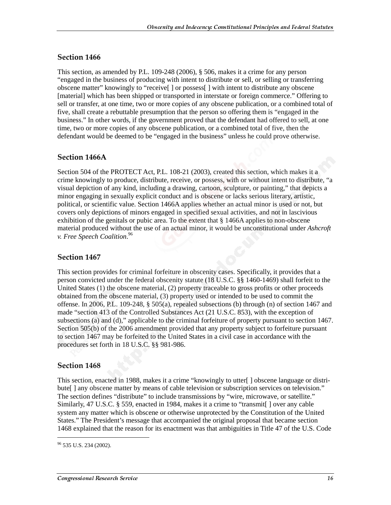#### **Section 1466**

This section, as amended by P.L. 109-248 (2006), § 506, makes it a crime for any person "engaged in the business of producing with intent to distribute or sell, or selling or transferring obscene matter" knowingly to "receive[ ] or possess[ ] with intent to distribute any obscene [material] which has been shipped or transported in interstate or foreign commerce." Offering to sell or transfer, at one time, two or more copies of any obscene publication, or a combined total of five, shall create a rebuttable presumption that the person so offering them is "engaged in the business." In other words, if the government proved that the defendant had offered to sell, at one time, two or more copies of any obscene publication, or a combined total of five, then the defendant would be deemed to be "engaged in the business" unless he could prove otherwise.

#### **Section 1466A**

Section 504 of the PROTECT Act, P.L. 108-21 (2003), created this section, which makes it a crime knowingly to produce, distribute, receive, or possess, with or without intent to distribute, "a visual depiction of any kind, including a drawing, cartoon, sculpture, or painting," that depicts a minor engaging in sexually explicit conduct and is obscene or lacks serious literary, artistic, political, or scientific value. Section 1466A applies whether an actual minor is used or not, but covers only depictions of minors engaged in specified sexual activities, and not in lascivious exhibition of the genitals or pubic area. To the extent that § 1466A applies to non-obscene material produced without the use of an actual minor, it would be unconstitutional under *Ashcroft v. Free Speech Coalition*. 96

#### Section 1467

This section provides for criminal forfeiture in obscenity cases. Specifically, it provides that a person convicted under the federal obscenity statute (18 U.S.C. §§ 1460-1469) shall forfeit to the United States (1) the obscene material, (2) property traceable to gross profits or other proceeds obtained from the obscene material, (3) property used or intended to be used to commit the offense. In 2006, P.L. 109-248, § 505(a), repealed subsections (b) through (n) of section 1467 and made "section 413 of the Controlled Substances Act (21 U.S.C. 853), with the exception of subsections (a) and (d)," applicable to the criminal forfeiture of property pursuant to section 1467. Section 505(b) of the 2006 amendment provided that any property subject to forfeiture pursuant to section 1467 may be forfeited to the United States in a civil case in accordance with the procedures set forth in 18 U.S.C. §§ 981-986.

#### **Section 1468**

This section, enacted in 1988, makes it a crime "knowingly to utter[ ] obscene language or distribute[ ] any obscene matter by means of cable television or subscription services on television." The section defines "distribute" to include transmissions by "wire, microwave, or satellite." Similarly, 47 U.S.C. § 559, enacted in 1984, makes it a crime to "transmit[ ] over any cable system any matter which is obscene or otherwise unprotected by the Constitution of the United States." The President's message that accompanied the original proposal that became section 1468 explained that the reason for its enactment was that ambiguities in Title 47 of the U.S. Code

<sup>&</sup>lt;sup>96</sup> 535 U.S. 234 (2002).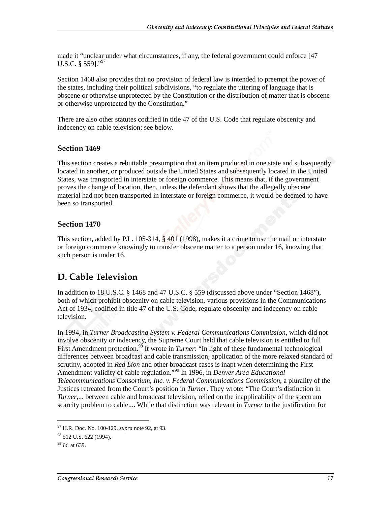made it "unclear under what circumstances, if any, the federal government could enforce [47 U.S.C. § 559]."97

Section 1468 also provides that no provision of federal law is intended to preempt the power of the states, including their political subdivisions, "to regulate the uttering of language that is obscene or otherwise unprotected by the Constitution or the distribution of matter that is obscene or otherwise unprotected by the Constitution."

There are also other statutes codified in title 47 of the U.S. Code that regulate obscenity and indecency on cable television; see below.

#### Section 1469

This section creates a rebuttable presumption that an item produced in one state and subsequently located in another, or produced outside the United States and subsequently located in the United States, was transported in interstate or foreign commerce. This means that, if the government proves the change of location, then, unless the defendant shows that the allegedly obscene material had not been transported in interstate or foreign commerce, it would be deemed to have been so transported.

#### **Section 1470**

This section, added by P.L. 105-314, § 401 (1998), makes it a crime to use the mail or interstate or foreign commerce knowingly to transfer obscene matter to a person under 16, knowing that such person is under 16.

## D. Cable Television

In addition to 18 U.S.C. § 1468 and 47 U.S.C. § 559 (discussed above under "Section 1468"), both of which prohibit obscenity on cable television, various provisions in the Communications Act of 1934, codified in title 47 of the U.S. Code, regulate obscenity and indecency on cable television.

In 1994, in *Turner Broadcasting System v. Federal Communications Commission*, which did not involve obscenity or indecency, the Supreme Court held that cable television is entitled to full First Amendment protection.<sup>98</sup> It wrote in *Turner*: "In light of these fundamental technological differences between broadcast and cable transmission, application of the more relaxed standard of scrutiny, adopted in *Red Lion* and other broadcast cases is inapt when determining the First Amendment validity of cable regulation."99 In 1996, in *Denver Area Educational Telecommunications Consortium, Inc. v. Federal Communications Commission*, a plurality of the Justices retreated from the Court's position in *Turner*. They wrote: "The Court's distinction in *Turner*,... between cable and broadcast television, relied on the inapplicability of the spectrum scarcity problem to cable.... While that distinction was relevant in *Turner* to the justification for

<sup>97</sup> H.R. Doc. No. 100-129, *supra* note 92, at 93.

<sup>&</sup>lt;sup>98</sup> 512 U.S. 622 (1994).

<sup>99</sup> *Id.* at 639.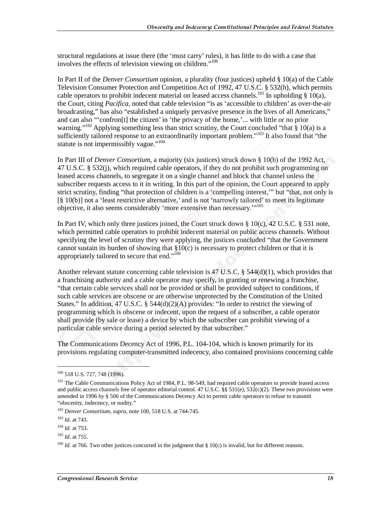structural regulations at issue there (the 'must carry' rules), it has little to do with a case that involves the effects of television viewing on children."100

In Part II of the *Denver Consortium* opinion, a plurality (four justices) upheld § 10(a) of the Cable Television Consumer Protection and Competition Act of 1992, 47 U.S.C. § 532(h), which permits cable operators to prohibit indecent material on leased access channels.<sup>101</sup> In upholding § 10(a), the Court, citing *Pacifica*, noted that cable television "is as 'accessible to children' as over-the-air broadcasting," has also "established a uniquely pervasive presence in the lives of all Americans," and can also "'confron[t] the citizen' in 'the privacy of the home,'... with little or no prior warning."<sup>102</sup> Applying something less than strict scrutiny, the Court concluded "that § 10(a) is a sufficiently tailored response to an extraordinarily important problem."<sup>103</sup> It also found that "the statute is not impermissibly vague."<sup>104</sup>

In Part III of *Denver Consortium*, a majority (six justices) struck down § 10(b) of the 1992 Act, 47 U.S.C. § 532(j), which required cable operators, if they do not prohibit such programming on leased access channels, to segregate it on a single channel and block that channel unless the subscriber requests access to it in writing. In this part of the opinion, the Court appeared to apply strict scrutiny, finding "that protection of children is a 'compelling interest,'" but "that, not only is [§ 10(b)] not a 'least restrictive alternative,' and is not 'narrowly tailored' to meet its legitimate objective, it also seems considerably 'more extensive than necessary.'"105

In Part IV, which only three justices joined, the Court struck down  $\S 10(c)$ , 42 U.S.C.  $\S 531$  note, which permitted cable operators to prohibit indecent material on public access channels. Without specifying the level of scrutiny they were applying, the justices concluded "that the Government cannot sustain its burden of showing that  $\S10(c)$  is necessary to protect children or that it is appropriately tailored to secure that end."106

Another relevant statute concerning cable television is 47 U.S.C. § 544(d)(1), which provides that a franchising authority and a cable operator may specify, in granting or renewing a franchise, "that certain cable services shall not be provided or shall be provided subject to conditions, if such cable services are obscene or are otherwise unprotected by the Constitution of the United States." In addition, 47 U.S.C. §  $544(d)(2)(A)$  provides: "In order to restrict the viewing of programming which is obscene or indecent, upon the request of a subscriber, a cable operator shall provide (by sale or lease) a device by which the subscriber can prohibit viewing of a particular cable service during a period selected by that subscriber."

The Communications Decency Act of 1996, P.L. 104-104, which is known primarily for its provisions regulating computer-transmitted indecency, also contained provisions concerning cable

<sup>100 518</sup> U.S. 727, 748 (1996).

<sup>&</sup>lt;sup>101</sup> The Cable Communications Policy Act of 1984, P.L. 98-549, had required cable operators to provide leased access and public access channels free of operator editorial control. 47 U.S.C. §§ 531(e), 532(c)(2). These two provisions were amended in 1996 by § 506 of the Communications Decency Act to permit cable operators to refuse to transmit "obscenity, indecency, or nudity."

<sup>102</sup> *Denver Consortium*, *supra*, note 100, 518 U.S. at 744-745.

<sup>103</sup> *Id.* at 743.

<sup>104</sup> *Id.* at 753.

<sup>105</sup> *Id.* at 755.

<sup>&</sup>lt;sup>106</sup> *Id.* at 766. Two other justices concurred in the judgment that § 10(c) is invalid, but for different reasons.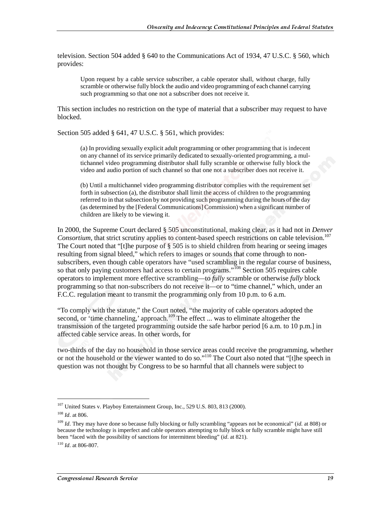television. Section 504 added § 640 to the Communications Act of 1934, 47 U.S.C. § 560, which provides:

Upon request by a cable service subscriber, a cable operator shall, without charge, fully scramble or otherwise fully block the audio and video programming of each channel carrying such programming so that one not a subscriber does not receive it.

This section includes no restriction on the type of material that a subscriber may request to have blocked.

Section 505 added § 641, 47 U.S.C. § 561, which provides:

(a) In providing sexually explicit adult programming or other programming that is indecent on any channel of its service primarily dedicated to sexually-oriented programming, a multichannel video programming distributor shall fully scramble or otherwise fully block the video and audio portion of such channel so that one not a subscriber does not receive it.

(b) Until a multichannel video programming distributor complies with the requirement set forth in subsection (a), the distributor shall limit the access of children to the programming referred to in that subsection by not providing such programming during the hours of the day (as determined by the [Federal Communications] Commission) when a significant number of children are likely to be viewing it.

In 2000, the Supreme Court declared § 505 unconstitutional, making clear, as it had not in *Denver Consortium*, that strict scrutiny applies to content-based speech restrictions on cable television.<sup>107</sup> The Court noted that "[t]he purpose of § 505 is to shield children from hearing or seeing images resulting from signal bleed," which refers to images or sounds that come through to nonsubscribers, even though cable operators have "used scrambling in the regular course of business, so that only paying customers had access to certain programs."<sup>108</sup> Section 505 requires cable operators to implement more effective scrambling—to *fully* scramble or otherwise *fully* block programming so that non-subscribers do not receive it—or to "time channel," which, under an F.C.C. regulation meant to transmit the programming only from 10 p.m. to 6 a.m.

"To comply with the statute," the Court noted, "the majority of cable operators adopted the second, or 'time channeling,' approach.<sup>109</sup> The effect ... was to eliminate altogether the transmission of the targeted programming outside the safe harbor period [6 a.m. to 10 p.m.] in affected cable service areas. In other words, for

two-thirds of the day no household in those service areas could receive the programming, whether or not the household or the viewer wanted to do so."110 The Court also noted that "[t]he speech in question was not thought by Congress to be so harmful that all channels were subject to

<sup>&</sup>lt;sup>107</sup> United States v. Playboy Entertainment Group, Inc., 529 U.S. 803, 813 (2000).

<sup>108</sup> *Id*. at 806.

<sup>109</sup> *Id*. They may have done so because fully blocking or fully scrambling "appears not be economical" (*id.* at 808) or because the technology is imperfect and cable operators attempting to fully block or fully scramble might have still been "faced with the possibility of sanctions for intermittent bleeding" (*id*. at 821).

<sup>110</sup> *Id*. at 806-807.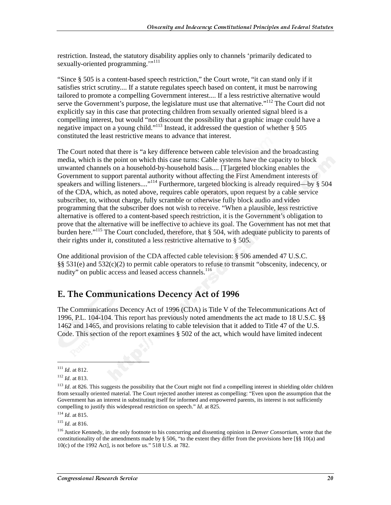restriction. Instead, the statutory disability applies only to channels 'primarily dedicated to sexually-oriented programming."<sup>111</sup>

"Since § 505 is a content-based speech restriction," the Court wrote, "it can stand only if it satisfies strict scrutiny.... If a statute regulates speech based on content, it must be narrowing tailored to promote a compelling Government interest.... If a less restrictive alternative would serve the Government's purpose, the legislature must use that alternative."<sup>112</sup> The Court did not explicitly say in this case that protecting children from sexually oriented signal bleed is a compelling interest, but would "not discount the possibility that a graphic image could have a negative impact on a young child."113 Instead, it addressed the question of whether § 505 constituted the least restrictive means to advance that interest.

The Court noted that there is "a key difference between cable television and the broadcasting media, which is the point on which this case turns: Cable systems have the capacity to block unwanted channels on a household-by-household basis.... [T]argeted blocking enables the Government to support parental authority without affecting the First Amendment interests of speakers and willing listeners...."<sup>114</sup> Furthermore, targeted blocking is already required—by § 504 of the CDA, which, as noted above, requires cable operators, upon request by a cable service subscriber, to, without charge, fully scramble or otherwise fully block audio and video programming that the subscriber does not wish to receive. "When a plausible, less restrictive alternative is offered to a content-based speech restriction, it is the Government's obligation to prove that the alternative will be ineffective to achieve its goal. The Government has not met that burden here."<sup>115</sup> The Court concluded, therefore, that § 504, with adequate publicity to parents of their rights under it, constituted a less restrictive alternative to § 505.

One additional provision of the CDA affected cable television: § 506 amended 47 U.S.C. §§ 531(e) and 532(c)(2) to permit cable operators to refuse to transmit "obscenity, indecency, or nudity" on public access and leased access channels.<sup>116</sup>

## E. The Communications Decency Act of 1996

The Communications Decency Act of 1996 (CDA) is Title V of the Telecommunications Act of 1996, P.L. 104-104. This report has previously noted amendments the act made to 18 U.S.C. §§ 1462 and 1465, and provisions relating to cable television that it added to Title 47 of the U.S. Code. This section of the report examines § 502 of the act, which would have limited indecent

 $\overline{a}$ 

<sup>114</sup> *Id.* at 815.

<sup>115</sup> *Id.* at 816.

<sup>111</sup> *Id*. at 812.

<sup>112</sup> *Id*. at 813.

<sup>&</sup>lt;sup>113</sup> *Id.* at 826. This suggests the possibility that the Court might not find a compelling interest in shielding older children from sexually oriented material. The Court rejected another interest as compelling: "Even upon the assumption that the Government has an interest in substituting itself for informed and empowered parents, its interest is not sufficiently compelling to justify this widespread restriction on speech." *Id*. at 825.

<sup>116</sup> Justice Kennedy, in the only footnote to his concurring and dissenting opinion in *Denver Consortium*, wrote that the constitutionality of the amendments made by § 506, "to the extent they differ from the provisions here [§§ 10(a) and 10(c) of the 1992 Act], is not before us." 518 U.S. at 782.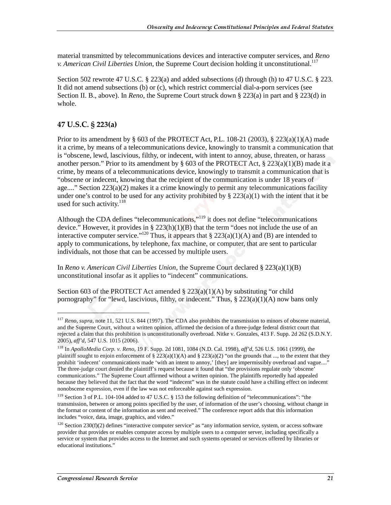material transmitted by telecommunications devices and interactive computer services, and *Reno v. American Civil Liberties Union*, the Supreme Court decision holding it unconstitutional.<sup>117</sup>

Section 502 rewrote 47 U.S.C. § 223(a) and added subsections (d) through (h) to 47 U.S.C. § 223. It did not amend subsections (b) or (c), which restrict commercial dial-a-porn services (see Section II. B., above). In *Reno*, the Supreme Court struck down § 223(a) in part and § 223(d) in whole.

#### 47 U.S.C. § 223(a)

 $\overline{a}$ 

Prior to its amendment by  $\S$  603 of the PROTECT Act, P.L. 108-21 (2003),  $\S$  223(a)(1)(A) made it a crime, by means of a telecommunications device, knowingly to transmit a communication that is "obscene, lewd, lascivious, filthy, or indecent, with intent to annoy, abuse, threaten, or harass another person." Prior to its amendment by  $\S$  603 of the PROTECT Act,  $\S$  223(a)(1)(B) made it a crime, by means of a telecommunications device, knowingly to transmit a communication that is "obscene or indecent, knowing that the recipient of the communication is under 18 years of age...." Section 223(a)(2) makes it a crime knowingly to permit any telecommunications facility under one's control to be used for any activity prohibited by  $\S 223(a)(1)$  with the intent that it be used for such activity.<sup>118</sup>

Although the CDA defines "telecommunications,"119 it does not define "telecommunications device." However, it provides in §  $223(h)(1)(B)$  that the term "does not include the use of an interactive computer service."<sup>120</sup> Thus, it appears that  $\S 223(a)(1)(A)$  and (B) are intended to apply to communications, by telephone, fax machine, or computer, that are sent to particular individuals, not those that can be accessed by multiple users.

In *Reno v. American Civil Liberties Union*, the Supreme Court declared § 223(a)(1)(B) unconstitutional insofar as it applies to "indecent" communications.

Section 603 of the PROTECT Act amended  $\S 223(a)(1)(A)$  by substituting "or child pornography" for "lewd, lascivious, filthy, or indecent." Thus, § 223(a)(1)(A) now bans only

<sup>117</sup> *Reno*, *supra*, note 11, 521 U.S. 844 (1997). The CDA also prohibits the transmission to minors of obscene material, and the Supreme Court, without a written opinion, affirmed the decision of a three-judge federal district court that rejected a claim that this prohibition is unconstitutionally overbroad. Nitke v. Gonzales, 413 F. Supp. 2d 262 (S.D.N.Y. 2005), *aff'd*, 547 U.S. 1015 (2006).

<sup>118</sup> In *ApolloMedia Corp. v. Reno*, 19 F. Supp. 2d 1081, 1084 (N.D. Cal. 1998), *aff'd*, 526 U.S. 1061 (1999), the plaintiff sought to enjoin enforcement of § 223(a)(1)(A) and § 223(a)(2) "on the grounds that ..., to the extent that they prohibit 'indecent' communications made 'with an intent to annoy,' [they] are impermissibly overbroad and vague...." The three-judge court denied the plaintiff's request because it found that "the provisions regulate only 'obscene' communications." The Supreme Court affirmed without a written opinion. The plaintiffs reportedly had appealed because they believed that the fact that the word "indecent" was in the statute could have a chilling effect on indecent nonobscene expression, even if the law was not enforceable against such expression.

<sup>119</sup> Section 3 of P.L. 104-104 added to 47 U.S.C. § 153 the following definition of "telecommunications": "the transmission, between or among points specified by the user, of information of the user's choosing, without change in the format or content of the information as sent and received." The conference report adds that this information includes "voice, data, image, graphics, and video."

 $120$  Section 230(f)(2) defines "interactive computer service" as "any information service, system, or access software provider that provides or enables computer access by multiple users to a computer server, including specifically a service or system that provides access to the Internet and such systems operated or services offered by libraries or educational institutions."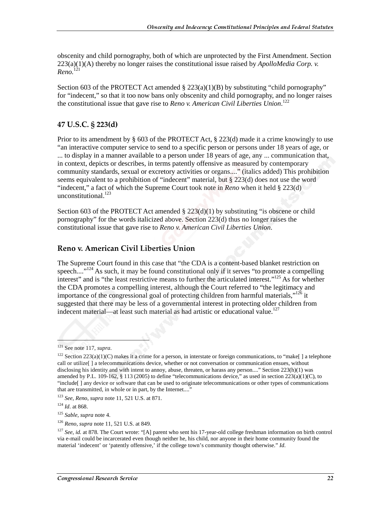obscenity and child pornography, both of which are unprotected by the First Amendment. Section 223(a)(1)(A) thereby no longer raises the constitutional issue raised by *ApolloMedia Corp. v. Reno.*<sup>121</sup>

Section 603 of the PROTECT Act amended  $\S$  223(a)(1)(B) by substituting "child pornography" for "indecent," so that it too now bans only obscenity and child pornography, and no longer raises the constitutional issue that gave rise to *Reno v. American Civil Liberties Union*. 122

#### 47 U.S.C. § 223(d)

Prior to its amendment by  $\S 603$  of the PROTECT Act,  $\S 223(d)$  made it a crime knowingly to use "an interactive computer service to send to a specific person or persons under 18 years of age, or ... to display in a manner available to a person under 18 years of age, any ... communication that, in context, depicts or describes, in terms patently offensive as measured by contemporary community standards, sexual or excretory activities or organs...." (italics added) This prohibition seems equivalent to a prohibition of "indecent" material, but § 223(d) does not use the word "indecent," a fact of which the Supreme Court took note in *Reno* when it held § 223(d) unconstitutional. $^{123}$ 

Section 603 of the PROTECT Act amended  $\S$  223(d)(1) by substituting "is obscene or child pornography" for the words italicized above. Section 223(d) thus no longer raises the constitutional issue that gave rise to *Reno v. American Civil Liberties Union*.

#### Reno v. American Civil Liberties Union

The Supreme Court found in this case that "the CDA is a content-based blanket restriction on speech....<sup>"124</sup> As such, it may be found constitutional only if it serves "to promote a compelling interest" and is "the least restrictive means to further the articulated interest."<sup>125</sup> As for whether the CDA promotes a compelling interest, although the Court referred to "the legitimacy and importance of the congressional goal of protecting children from harmful materials," $126$  it suggested that there may be less of a governmental interest in protecting older children from indecent material—at least such material as had artistic or educational value.<sup>127</sup>

l

<sup>121</sup> See note 117, *supra*.

<sup>&</sup>lt;sup>122</sup> Section 223(a)(1)(C) makes it a crime for a person, in interstate or foreign communications, to "make[] a telephone call or utilize[ ] a telecommunications device, whether or not conversation or communication ensues, without disclosing his identity and with intent to annoy, abuse, threaten, or harass any person...." Section 223(h)(1) was amended by P.L. 109-162, § 113 (2005) to define "telecommunications device," as used in section  $223(a)(1)(C)$ , to "include[ ] any device or software that can be used to originate telecommunications or other types of communications that are transmitted, in whole or in part, by the Internet...."

<sup>123</sup> *See*, *Reno*, *supra* note 11, 521 U.S. at 871.

<sup>124</sup> *Id*. at 868.

<sup>125</sup> *Sable*, *supra* note 4.

<sup>126</sup> *Reno*, *supra* note 11, 521 U.S. at 849.

<sup>&</sup>lt;sup>127</sup> See, id. at 878. The Court wrote: "[A] parent who sent his 17-year-old college freshman information on birth control via e-mail could be incarcerated even though neither he, his child, nor anyone in their home community found the material 'indecent' or 'patently offensive,' if the college town's community thought otherwise." *Id*.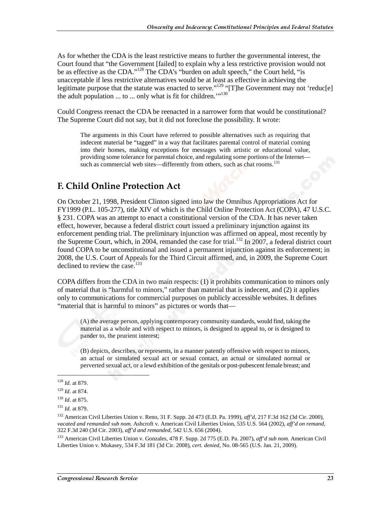As for whether the CDA is the least restrictive means to further the governmental interest, the Court found that "the Government [failed] to explain why a less restrictive provision would not be as effective as the CDA."<sup>128</sup> The CDA's "burden on adult speech," the Court held, "is unacceptable if less restrictive alternatives would be at least as effective in achieving the legitimate purpose that the statute was enacted to serve."<sup>129</sup> "[T]he Government may not 'reduc[e] the adult population ... to ... only what is fit for children."<sup>130</sup>

Could Congress reenact the CDA be reenacted in a narrower form that would be constitutional? The Supreme Court did not say, but it did not foreclose the possibility. It wrote:

The arguments in this Court have referred to possible alternatives such as requiring that indecent material be "tagged" in a way that facilitates parental control of material coming into their homes, making exceptions for messages with artistic or educational value, providing some tolerance for parental choice, and regulating some portions of the Internet such as commercial web sites—differently from others, such as chat rooms.<sup>131</sup>

## F. Child Online Protection Act

On October 21, 1998, President Clinton signed into law the Omnibus Appropriations Act for FY1999 (P.L. 105-277), title XIV of which is the Child Online Protection Act (COPA), 47 U.S.C. § 231. COPA was an attempt to enact a constitutional version of the CDA. It has never taken effect, however, because a federal district court issued a preliminary injunction against its enforcement pending trial. The preliminary injunction was affirmed on appeal, most recently by the Supreme Court, which, in 2004, remanded the case for trial.<sup>132</sup> In 2007, a federal district court found COPA to be unconstitutional and issued a permanent injunction against its enforcement; in 2008, the U.S. Court of Appeals for the Third Circuit affirmed, and, in 2009, the Supreme Court declined to review the case.<sup>133</sup>

COPA differs from the CDA in two main respects: (1) it prohibits communication to minors only of material that is "harmful to minors," rather than material that is indecent, and (2) it applies only to communications for commercial purposes on publicly accessible websites. It defines "material that is harmful to minors" as pictures or words that—

(A) the average person, applying contemporary community standards, would find, taking the material as a whole and with respect to minors, is designed to appeal to, or is designed to pander to, the prurient interest;

(B) depicts, describes, or represents, in a manner patently offensive with respect to minors, an actual or simulated sexual act or sexual contact, an actual or simulated normal or perverted sexual act, or a lewd exhibition of the genitals or post-pubescent female breast; and

<sup>128</sup> *Id.* at 879.

<sup>129</sup> *Id*. at 874.

<sup>130</sup> *Id*. at 875.

<sup>131</sup> *Id.* at 879.

<sup>132</sup> American Civil Liberties Union v. Reno, 31 F. Supp. 2d 473 (E.D. Pa. 1999), *aff'd*, 217 F.3d 162 (3d Cir. 2000), *vacated and remanded sub nom.* Ashcroft v. American Civil Liberties Union, 535 U.S. 564 (2002), *aff'd on remand*, 322 F.3d 240 (3d Cir. 2003), *aff'd and remanded*, 542 U.S. 656 (2004).

<sup>133</sup> American Civil Liberties Union v. Gonzales, 478 F. Supp. 2d 775 (E.D. Pa. 2007), *aff'd sub nom.* American Civil Liberties Union v. Mukasey, 534 F.3d 181 (3d Cir. 2008), *cert. denied*, No. 08-565 (U.S. Jan. 21, 2009).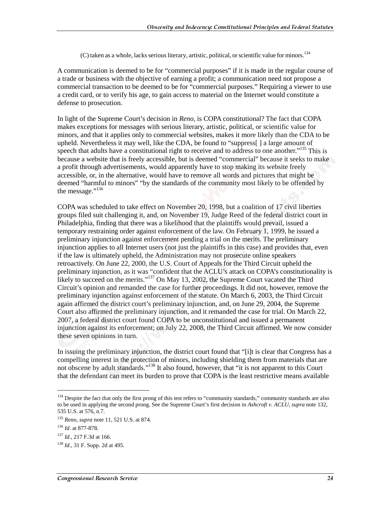$(C)$  taken as a whole, lacks serious literary, artistic, political, or scientific value for minors.<sup>134</sup>

A communication is deemed to be for "commercial purposes" if it is made in the regular course of a trade or business with the objective of earning a profit; a communication need not propose a commercial transaction to be deemed to be for "commercial purposes." Requiring a viewer to use a credit card, or to verify his age, to gain access to material on the Internet would constitute a defense to prosecution.

In light of the Supreme Court's decision in *Reno*, is COPA constitutional? The fact that COPA makes exceptions for messages with serious literary, artistic, political, or scientific value for minors, and that it applies only to commercial websites, makes it more likely than the CDA to be upheld. Nevertheless it may well, like the CDA, be found to "suppress[ ] a large amount of speech that adults have a constitutional right to receive and to address to one another."<sup>135</sup> This is because a website that is freely accessible, but is deemed "commercial" because it seeks to make a profit through advertisements, would apparently have to stop making its website freely accessible, or, in the alternative, would have to remove all words and pictures that might be deemed "harmful to minors" "by the standards of the community most likely to be offended by the message."<sup>136</sup>

COPA was scheduled to take effect on November 20, 1998, but a coalition of 17 civil liberties groups filed suit challenging it, and, on November 19, Judge Reed of the federal district court in Philadelphia, finding that there was a likelihood that the plaintiffs would prevail, issued a temporary restraining order against enforcement of the law. On February 1, 1999, he issued a preliminary injunction against enforcement pending a trial on the merits. The preliminary injunction applies to all Internet users (not just the plaintiffs in this case) and provides that, even if the law is ultimately upheld, the Administration may not prosecute online speakers retroactively. On June 22, 2000, the U.S. Court of Appeals for the Third Circuit upheld the preliminary injunction, as it was "confident that the ACLU's attack on COPA's constitutionality is likely to succeed on the merits."<sup>137</sup> On May 13, 2002, the Supreme Court vacated the Third Circuit's opinion and remanded the case for further proceedings. It did not, however, remove the preliminary injunction against enforcement of the statute. On March 6, 2003, the Third Circuit again affirmed the district court's preliminary injunction, and, on June 29, 2004, the Supreme Court also affirmed the preliminary injunction, and it remanded the case for trial. On March 22, 2007, a federal district court found COPA to be unconstitutional and issued a permanent injunction against its enforcement; on July 22, 2008, the Third Circuit affirmed. We now consider these seven opinions in turn.

In issuing the preliminary injunction, the district court found that "[i]t is clear that Congress has a compelling interest in the protection of minors, including shielding them from materials that are not obscene by adult standards."<sup>138</sup> It also found, however, that "it is not apparent to this Court that the defendant can meet its burden to prove that COPA is the least restrictive means available

<sup>&</sup>lt;sup>134</sup> Despite the fact that only the first prong of this test refers to "community standards," community standards are also to be used in applying the second prong. See the Supreme Court's first decision in *Ashcroft v. ACLU*, *supra* note 132, 535 U.S. at 576, n.7.

<sup>135</sup> *Reno*, *supra* note 11, 521 U.S. at 874.

<sup>136</sup> *Id*. at 877-878.

<sup>137</sup> *Id*., 217 F.3d at 166.

<sup>138</sup> *Id.*, 31 F. Supp. 2d at 495.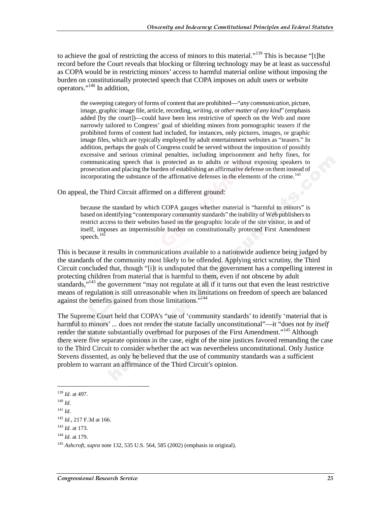to achieve the goal of restricting the access of minors to this material."<sup>139</sup> This is because "[t]he record before the Court reveals that blocking or filtering technology may be at least as successful as COPA would be in restricting minors' access to harmful material online without imposing the burden on constitutionally protected speech that COPA imposes on adult users or website operators."140 In addition,

the sweeping category of forms of content that are prohibited—"*any communication*, picture, image, graphic image file, article, recording, *writing*, or *other matter of any kind*" (emphasis added [by the court])—could have been less restrictive of speech on the Web and more narrowly tailored to Congress' goal of shielding minors from pornographic teasers if the prohibited forms of content had included, for instances, only pictures, images, or graphic image files, which are typically employed by adult entertainment websites as "teasers." In addition, perhaps the goals of Congress could be served without the imposition of possibly excessive and serious criminal penalties, including imprisonment and hefty fines, for communicating speech that is protected as to adults or without exposing speakers to prosecution and placing the burden of establishing an affirmative defense on them instead of incorporating the substance of the affirmative defenses in the elements of the crime.<sup>141</sup>

On appeal, the Third Circuit affirmed on a different ground:

because the standard by which COPA gauges whether material is "harmful to minors" is based on identifying "contemporary community standards" the inability of Web publishers to restrict access to their websites based on the geographic locale of the site visitor, in and of itself, imposes an impermissible burden on constitutionally protected First Amendment speech. $142$ 

This is because it results in communications available to a nationwide audience being judged by the standards of the community most likely to be offended. Applying strict scrutiny, the Third Circuit concluded that, though "[i]t is undisputed that the government has a compelling interest in protecting children from material that is harmful to them, even if not obscene by adult standards,"<sup>143</sup> the government "may not regulate at all if it turns out that even the least restrictive means of regulation is still unreasonable when its limitations on freedom of speech are balanced against the benefits gained from those limitations."<sup>144</sup>

The Supreme Court held that COPA's "use of 'community standards' to identify 'material that is harmful to minors' ... does not render the statute facially unconstitutional"—it "does not *by itself* render the statute substantially overbroad for purposes of the First Amendment."<sup>145</sup> Although there were five separate opinions in the case, eight of the nine justices favored remanding the case to the Third Circuit to consider whether the act was nevertheless unconstitutional. Only Justice Stevens dissented, as only he believed that the use of community standards was a sufficient problem to warrant an affirmance of the Third Circuit's opinion.

<sup>139</sup> *Id*. at 497.

<sup>140</sup> *Id*.

<sup>141</sup> *Id*.

<sup>142</sup> *Id*., 217 F.3d at 166.

<sup>143</sup> *Id*. at 173.

<sup>144</sup> *Id*. at 179.

<sup>145</sup> *Ashcroft*, *supra* note 132, 535 U.S. 564, 585 (2002) (emphasis in original).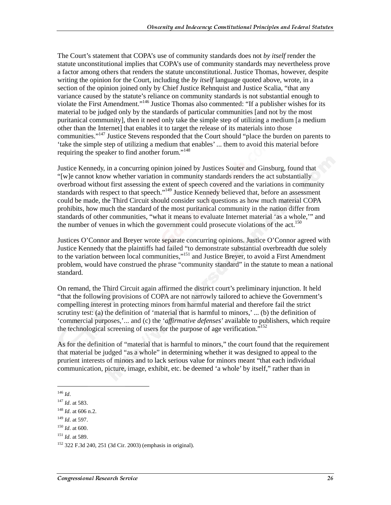The Court's statement that COPA's use of community standards does not *by itself* render the statute unconstitutional implies that COPA's use of community standards may nevertheless prove a factor among others that renders the statute unconstitutional. Justice Thomas, however, despite writing the opinion for the Court, including the *by itself* language quoted above, wrote, in a section of the opinion joined only by Chief Justice Rehnquist and Justice Scalia, "that any variance caused by the statute's reliance on community standards is not substantial enough to violate the First Amendment."146 Justice Thomas also commented: "If a publisher wishes for its material to be judged only by the standards of particular communities [and not by the most puritanical community], then it need only take the simple step of utilizing a medium [a medium other than the Internet] that enables it to target the release of its materials into those communities."147 Justice Stevens responded that the Court should "place the burden on parents to 'take the simple step of utilizing a medium that enables' ... them to avoid this material before requiring the speaker to find another forum."<sup>148</sup>

Justice Kennedy, in a concurring opinion joined by Justices Souter and Ginsburg, found that "[w]e cannot know whether variation in community standards renders the act substantially overbroad without first assessing the extent of speech covered and the variations in community standards with respect to that speech."<sup>149</sup> Justice Kennedy believed that, before an assessment could be made, the Third Circuit should consider such questions as how much material COPA prohibits, how much the standard of the most puritanical community in the nation differ from standards of other communities, "what it means to evaluate Internet material 'as a whole,'" and the number of venues in which the government could prosecute violations of the act.<sup>150</sup>

Justices O'Connor and Breyer wrote separate concurring opinions. Justice O'Connor agreed with Justice Kennedy that the plaintiffs had failed "to demonstrate substantial overbreadth due solely to the variation between local communities,"<sup>151</sup> and Justice Breyer, to avoid a First Amendment problem, would have construed the phrase "community standard" in the statute to mean a national standard.

On remand, the Third Circuit again affirmed the district court's preliminary injunction. It held "that the following provisions of COPA are not narrowly tailored to achieve the Government's compelling interest in protecting minors from harmful material and therefore fail the strict scrutiny test: (a) the definition of 'material that is harmful to minors,' ... (b) the definition of 'commercial purposes,'... and (c) the '*affirmative defenses*' available to publishers, which require the technological screening of users for the purpose of age verification.<sup> $5152$ </sup>

As for the definition of "material that is harmful to minors," the court found that the requirement that material be judged "as a whole" in determining whether it was designed to appeal to the prurient interests of minors and to lack serious value for minors meant "that each individual communication, picture, image, exhibit, etc. be deemed 'a whole' by itself," rather than in

<sup>146</sup> *Id*.

<sup>147</sup> *Id*. at 583.

<sup>148</sup> *Id*. at 606 n.2.

<sup>149</sup> *Id*. at 597.

<sup>150</sup> *Id*. at 600.

<sup>151</sup> *Id*. at 589.

<sup>152 322</sup> F.3d 240, 251 (3d Cir. 2003) (emphasis in original).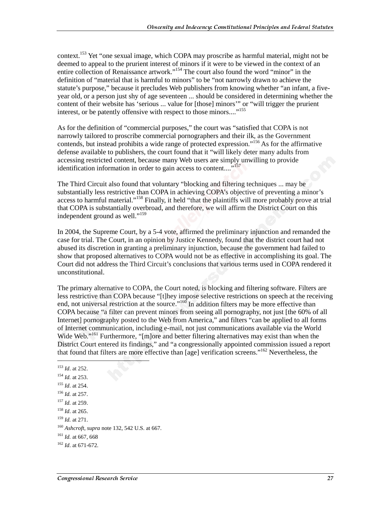context.<sup>153</sup> Yet "one sexual image, which COPA may proscribe as harmful material, might not be deemed to appeal to the prurient interest of minors if it were to be viewed in the context of an entire collection of Renaissance artwork."154 The court also found the word "minor" in the definition of "material that is harmful to minors" to be "not narrowly drawn to achieve the statute's purpose," because it precludes Web publishers from knowing whether "an infant, a fiveyear old, or a person just shy of age seventeen ... should be considered in determining whether the content of their website has 'serious ... value for [those] minors'" or "will trigger the prurient interest, or be patently offensive with respect to those minors...."<sup>155</sup>

As for the definition of "commercial purposes," the court was "satisfied that COPA is not narrowly tailored to proscribe commercial pornographers and their ilk, as the Government contends, but instead prohibits a wide range of protected expression."<sup>156</sup> As for the affirmative defense available to publishers, the court found that it "will likely deter many adults from accessing restricted content, because many Web users are simply unwilling to provide identification information in order to gain access to content...."<sup>157</sup>

The Third Circuit also found that voluntary "blocking and filtering techniques ... may be substantially less restrictive than COPA in achieving COPA's objective of preventing a minor's access to harmful material."<sup>158</sup> Finally, it held "that the plaintiffs will more probably prove at trial that COPA is substantially overbroad, and therefore, we will affirm the District Court on this independent ground as well."<sup>159</sup>

In 2004, the Supreme Court, by a 5-4 vote, affirmed the preliminary injunction and remanded the case for trial. The Court, in an opinion by Justice Kennedy, found that the district court had not abused its discretion in granting a preliminary injunction, because the government had failed to show that proposed alternatives to COPA would not be as effective in accomplishing its goal. The Court did not address the Third Circuit's conclusions that various terms used in COPA rendered it unconstitutional.

The primary alternative to COPA, the Court noted, is blocking and filtering software. Filters are less restrictive than COPA because "[t]hey impose selective restrictions on speech at the receiving end, not universal restriction at the source."<sup>160</sup> In addition filters may be more effective than COPA because "a filter can prevent minors from seeing all pornography, not just [the 60% of all Internet] pornography posted to the Web from America," and filters "can be applied to all forms of Internet communication, including e-mail, not just communications available via the World Wide Web."<sup>161</sup> Furthermore, "[m]ore and better filtering alternatives may exist than when the District Court entered its findings," and "a congressionally appointed commission issued a report that found that filters are more effective than [age] verification screens."162 Nevertheless, the

- <sup>155</sup> *Id*. at 254.
- <sup>156</sup> *Id.* at 257.
- <sup>157</sup> *Id.* at 259.
- <sup>158</sup> *Id*. at 265.
- <sup>159</sup> *Id.* at 271.
- <sup>160</sup> *Ashcroft*, *supra* note 132, 542 U.S. at 667.
- <sup>161</sup> *Id.* at 667, 668

<sup>153</sup> *Id*. at 252. <sup>154</sup> *Id.* at 253.

<sup>162</sup> *Id*. at 671-672.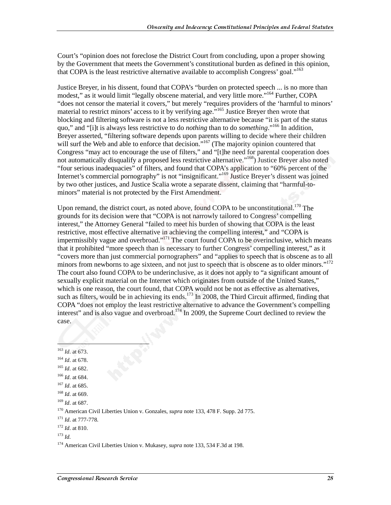Court's "opinion does not foreclose the District Court from concluding, upon a proper showing by the Government that meets the Government's constitutional burden as defined in this opinion, that COPA is the least restrictive alternative available to accomplish Congress' goal."<sup>163</sup>

Justice Breyer, in his dissent, found that COPA's "burden on protected speech ... is no more than modest," as it would limit "legally obscene material, and very little more."<sup>164</sup> Further, COPA "does not censor the material it covers," but merely "requires providers of the 'harmful to minors' material to restrict minors' access to it by verifying age.<sup>7,165</sup> Justice Breyer then wrote that blocking and filtering software is not a less restrictive alternative because "it is part of the status quo," and "[i]t is always less restrictive to do *nothing* than to do *something*."166 In addition, Breyer asserted, "filtering software depends upon parents willing to decide where their children will surf the Web and able to enforce that decision."<sup>167</sup> (The majority opinion countered that Congress "may act to encourage the use of filters," and "[t]he need for parental cooperation does not automatically disqualify a proposed less restrictive alternative."<sup>168</sup>) Justice Breyer also noted "four serious inadequacies" of filters, and found that COPA's application to "60% percent of the Internet's commercial pornography" is not "insignificant."<sup>169</sup> Justice Breyer's dissent was joined by two other justices, and Justice Scalia wrote a separate dissent, claiming that "harmful-tominors" material is not protected by the First Amendment.

Upon remand, the district court, as noted above, found COPA to be unconstitutional.<sup>170</sup> The grounds for its decision were that "COPA is not narrowly tailored to Congress' compelling interest," the Attorney General "failed to meet his burden of showing that COPA is the least restrictive, most effective alternative in achieving the compelling interest," and "COPA is impermissibly vague and overbroad."<sup>171</sup> The court found COPA to be overinclusive, which means that it prohibited "more speech than is necessary to further Congress' compelling interest," as it "covers more than just commercial pornographers" and "applies to speech that is obscene as to all minors from newborns to age sixteen, and not just to speech that is obscene as to older minors."<sup>172</sup> The court also found COPA to be underinclusive, as it does not apply to "a significant amount of sexually explicit material on the Internet which originates from outside of the United States," which is one reason, the court found, that COPA would not be not as effective as alternatives, such as filters, would be in achieving its ends.<sup>173</sup> In 2008, the Third Circuit affirmed, finding that COPA "does not employ the least restrictive alternative to advance the Government's compelling interest" and is also vague and overbroad.<sup>174</sup> In 2009, the Supreme Court declined to review the case.

ļ

- <sup>164</sup> *Id*. at 678.
- <sup>165</sup> *Id*. at 682.
- <sup>166</sup> *Id*. at 684.
- <sup>167</sup> *Id*. at 685.
- <sup>168</sup> *Id*. at 669.
- <sup>169</sup> *Id*. at 687.

170 American Civil Liberties Union v. Gonzales, *supra* note 133, 478 F. Supp. 2d 775.

- <sup>171</sup> *Id*. at 777-778.
- <sup>172</sup> *Id*. at 810.

174 American Civil Liberties Union v. Mukasey, *supra* note 133, 534 F.3d at 198.

<sup>163</sup> *Id*. at 673.

<sup>173</sup> *Id.*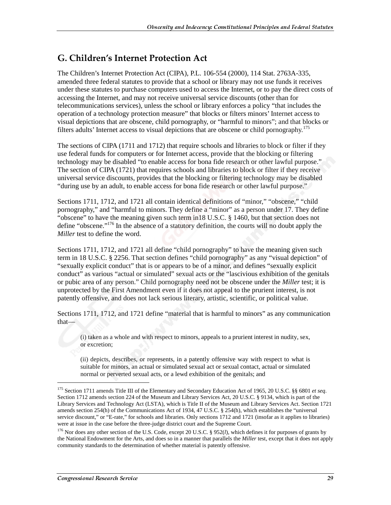### G. Children's Internet Protection Act

The Children's Internet Protection Act (CIPA), P.L. 106-554 (2000), 114 Stat. 2763A-335, amended three federal statutes to provide that a school or library may not use funds it receives under these statutes to purchase computers used to access the Internet, or to pay the direct costs of accessing the Internet, and may not receive universal service discounts (other than for telecommunications services), unless the school or library enforces a policy "that includes the operation of a technology protection measure" that blocks or filters minors' Internet access to visual depictions that are obscene, child pornography, or "harmful to minors"; and that blocks or filters adults' Internet access to visual depictions that are obscene or child pornography.<sup>175</sup>

The sections of CIPA (1711 and 1712) that require schools and libraries to block or filter if they use federal funds for computers or for Internet access, provide that the blocking or filtering technology may be disabled "to enable access for bona fide research or other lawful purpose." The section of CIPA (1721) that requires schools and libraries to block or filter if they receive universal service discounts, provides that the blocking or filtering technology may be disabled "during use by an adult, to enable access for bona fide research or other lawful purpose."

Sections 1711, 1712, and 1721 all contain identical definitions of "minor," "obscene," "child pornography," and "harmful to minors. They define a "minor" as a person under 17. They define "obscene" to have the meaning given such term in 18 U.S.C. § 1460, but that section does not define "obscene."<sup>176</sup> In the absence of a statutory definition, the courts will no doubt apply the *Miller* test to define the word.

Sections 1711, 1712, and 1721 all define "child pornography" to have the meaning given such term in 18 U.S.C. § 2256. That section defines "child pornography" as any "visual depiction" of "sexually explicit conduct" that is or appears to be of a minor, and defines "sexually explicit conduct" as various "actual or simulated" sexual acts or the "lascivious exhibition of the genitals or pubic area of any person." Child pornography need not be obscene under the *Miller* test; it is unprotected by the First Amendment even if it does not appeal to the prurient interest, is not patently offensive, and does not lack serious literary, artistic, scientific, or political value.

Sections 1711, 1712, and 1721 define "material that is harmful to minors" as any communication that—

(i) taken as a whole and with respect to minors, appeals to a prurient interest in nudity, sex, or excretion;

(ii) depicts, describes, or represents, in a patently offensive way with respect to what is suitable for minors, an actual or simulated sexual act or sexual contact, actual or simulated normal or perverted sexual acts, or a lewd exhibition of the genitals; and

<sup>175</sup> Section 1711 amends Title III of the Elementary and Secondary Education Act of 1965, 20 U.S.C. §§ 6801 *et seq*. Section 1712 amends section 224 of the Museum and Library Services Act, 20 U.S.C. § 9134, which is part of the Library Services and Technology Act (LSTA), which is Title II of the Museum and Library Services Act. Section 1721 amends section 254(h) of the Communications Act of 1934, 47 U.S.C. § 254(h), which establishes the "universal service discount," or "E-rate," for schools and libraries. Only sections 1712 and 1721 (insofar as it applies to libraries) were at issue in the case before the three-judge district court and the Supreme Court.

<sup>176</sup> Nor does any other section of the U.S. Code, except 20 U.S.C. § 952(*l*), which defines it for purposes of grants by the National Endowment for the Arts, and does so in a manner that parallels the *Miller* test, except that it does not apply community standards to the determination of whether material is patently offensive.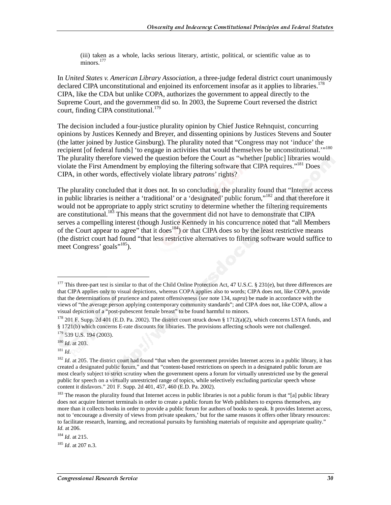(iii) taken as a whole, lacks serious literary, artistic, political, or scientific value as to  $\frac{177}{\text{minors}}$ 

In *United States v. American Library Association*, a three-judge federal district court unanimously declared CIPA unconstitutional and enjoined its enforcement insofar as it applies to libraries.<sup>178</sup> CIPA, like the CDA but unlike COPA, authorizes the government to appeal directly to the Supreme Court, and the government did so. In 2003, the Supreme Court reversed the district court, finding CIPA constitutional.<sup>179</sup>

The decision included a four-justice plurality opinion by Chief Justice Rehnquist, concurring opinions by Justices Kennedy and Breyer, and dissenting opinions by Justices Stevens and Souter (the latter joined by Justice Ginsburg). The plurality noted that "Congress may not 'induce' the recipient [of federal funds] 'to engage in activities that would themselves be unconstitutional."<sup>180</sup> The plurality therefore viewed the question before the Court as "whether [public] libraries would violate the First Amendment by employing the filtering software that CIPA requires."<sup>181</sup> Does CIPA, in other words, effectively violate library *patrons*' rights?

The plurality concluded that it does not. In so concluding, the plurality found that "Internet access in public libraries is neither a 'traditional' or a 'designated' public forum,"182 and that therefore it would not be appropriate to apply strict scrutiny to determine whether the filtering requirements are constitutional.183 This means that the government did not have to demonstrate that CIPA serves a compelling interest (though Justice Kennedy in his concurrence noted that "all Members of the Court appear to agree" that it does<sup>184</sup>) or that CIPA does so by the least restrictive means (the district court had found "that less restrictive alternatives to filtering software would suffice to meet Congress' goals"<sup>185</sup>).

j

<sup>184</sup> *Id*. at 215.

<sup>185</sup> *Id*. at 207 n.3.

<sup>&</sup>lt;sup>177</sup> This three-part test is similar to that of the Child Online Protection Act, 47 U.S.C. § 231(e), but three differences are that CIPA applies only to visual depictions, whereas COPA applies also to words; CIPA does not, like COPA, provide that the determinations of prurience and patent offensiveness (*see* note 134, *supra*) be made in accordance with the views of "the average person applying contemporary community standards"; and CIPA does not, like COPA, allow a visual depiction of a "post-pubescent female breast" to be found harmful to minors.

<sup>178 201</sup> F. Supp. 2d 401 (E.D. Pa. 2002). The district court struck down § 1712(a)(2), which concerns LSTA funds, and § 1721(b) which concerns E-rate discounts for libraries. The provisions affecting schools were not challenged.  $179$  539 U.S. 194 (2003).

<sup>180</sup> *Id*. at 203.

<sup>181</sup> *Id.*

<sup>&</sup>lt;sup>182</sup> *Id.* at 205. The district court had found "that when the government provides Internet access in a public library, it has created a designated public forum," and that "content-based restrictions on speech in a designated public forum are most clearly subject to strict scrutiny when the government opens a forum for virtually unrestricted use by the general public for speech on a virtually unrestricted range of topics, while selectively excluding particular speech whose content it disfavors." 201 F. Supp. 2d 401, 457, 460 (E.D. Pa. 2002).

<sup>&</sup>lt;sup>183</sup> The reason the plurality found that Internet access in public libraries is not a public forum is that "[a] public library does not acquire Internet terminals in order to create a public forum for Web publishers to express themselves, any more than it collects books in order to provide a public forum for authors of books to speak. It provides Internet access, not to 'encourage a diversity of views from private speakers,' but for the same reasons it offers other library resources: to facilitate research, learning, and recreational pursuits by furnishing materials of requisite and appropriate quality." *Id.* at 206.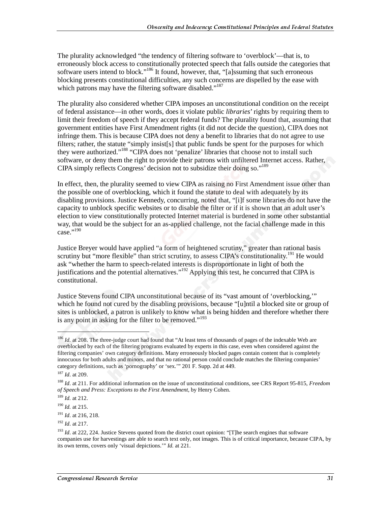The plurality acknowledged "the tendency of filtering software to 'overblock'—that is, to erroneously block access to constitutionally protected speech that falls outside the categories that software users intend to block."<sup>186</sup> It found, however, that, "[a]ssuming that such erroneous blocking presents constitutional difficulties, any such concerns are dispelled by the ease with which patrons may have the filtering software disabled."<sup>187</sup>

The plurality also considered whether CIPA imposes an unconstitutional condition on the receipt of federal assistance—in other words, does it violate public *libraries*' rights by requiring them to limit their freedom of speech if they accept federal funds? The plurality found that, assuming that government entities have First Amendment rights (it did not decide the question), CIPA does not infringe them. This is because CIPA does not deny a benefit to libraries that do not agree to use filters; rather, the statute "simply insist[s] that public funds be spent for the purposes for which they were authorized."188 "CIPA does not 'penalize' libraries that choose not to install such software, or deny them the right to provide their patrons with unfiltered Internet access. Rather, CIPA simply reflects Congress' decision not to subsidize their doing so."189

In effect, then, the plurality seemed to view CIPA as raising no First Amendment issue other than the possible one of overblocking, which it found the statute to deal with adequately by its disabling provisions. Justice Kennedy, concurring, noted that, "[i]f some libraries do not have the capacity to unblock specific websites or to disable the filter or if it is shown that an adult user's election to view constitutionally protected Internet material is burdened in some other substantial way, that would be the subject for an as-applied challenge, not the facial challenge made in this case."190

Justice Breyer would have applied "a form of heightened scrutiny," greater than rational basis scrutiny but "more flexible" than strict scrutiny, to assess CIPA's constitutionality.<sup>191</sup> He would ask "whether the harm to speech-related interests is disproportionate in light of both the justifications and the potential alternatives."192 Applying this test, he concurred that CIPA is constitutional.

Justice Stevens found CIPA unconstitutional because of its "vast amount of 'overblocking,'" which he found not cured by the disabling provisions, because "[u]ntil a blocked site or group of sites is unblocked, a patron is unlikely to know what is being hidden and therefore whether there is any point in asking for the filter to be removed."<sup>193</sup>

1

<sup>&</sup>lt;sup>186</sup> *Id.* at 208. The three-judge court had found that "At least tens of thousands of pages of the indexable Web are overblocked by each of the filtering programs evaluated by experts in this case, even when considered against the filtering companies' own category definitions. Many erroneously blocked pages contain content that is completely innocuous for both adults and minors, and that no rational person could conclude matches the filtering companies' category definitions, such as 'pornography' or 'sex.'" 201 F. Supp. 2d at 449.

<sup>187</sup> *Id*. at 209.

<sup>188</sup> *Id*. at 211. For additional information on the issue of unconstitutional conditions, see CRS Report 95-815, *Freedom of Speech and Press: Exceptions to the First Amendment*, by Henry Cohen.

<sup>189</sup> *Id.* at 212.

<sup>190</sup> *Id.* at 215.

<sup>191</sup> *Id*. at 216, 218.

<sup>192</sup> *Id*. at 217.

<sup>&</sup>lt;sup>193</sup> *Id.* at 222, 224. Justice Stevens quoted from the district court opinion: "[T]he search engines that software companies use for harvestings are able to search text only, not images. This is of critical importance, because CIPA, by its own terms, covers only 'visual depictions.'" *Id.* at 221.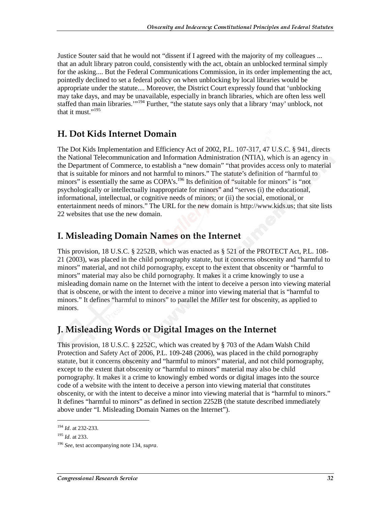Justice Souter said that he would not "dissent if I agreed with the majority of my colleagues ... that an adult library patron could, consistently with the act, obtain an unblocked terminal simply for the asking.... But the Federal Communications Commission, in its order implementing the act, pointedly declined to set a federal policy on when unblocking by local libraries would be appropriate under the statute.... Moreover, the District Court expressly found that 'unblocking may take days, and may be unavailable, especially in branch libraries, which are often less well staffed than main libraries."<sup>194</sup> Further, "the statute says only that a library 'may' unblock, not that it must."<sup>195</sup>

## H. Dot Kids Internet Domain

The Dot Kids Implementation and Efficiency Act of 2002, P.L. 107-317, 47 U.S.C. § 941, directs the National Telecommunication and Information Administration (NTIA), which is an agency in the Department of Commerce, to establish a "new domain" "that provides access only to material that is suitable for minors and not harmful to minors." The statute's definition of "harmful to minors" is essentially the same as COPA's.<sup>196</sup> Its definition of "suitable for minors" is "not psychologically or intellectually inappropriate for minors" and "serves (i) the educational, informational, intellectual, or cognitive needs of minors; or (ii) the social, emotional, or entertainment needs of minors." The URL for the new domain is http://www.kids.us; that site lists 22 websites that use the new domain.

## I. Misleading Domain Names on the Internet

This provision, 18 U.S.C. § 2252B, which was enacted as § 521 of the PROTECT Act, P.L. 108- 21 (2003), was placed in the child pornography statute, but it concerns obscenity and "harmful to minors" material, and not child pornography, except to the extent that obscenity or "harmful to minors" material may also be child pornography. It makes it a crime knowingly to use a misleading domain name on the Internet with the intent to deceive a person into viewing material that is obscene, or with the intent to deceive a minor into viewing material that is "harmful to minors." It defines "harmful to minors" to parallel the *Miller* test for obscenity, as applied to minors.

## J. Misleading Words or Digital Images on the Internet

This provision, 18 U.S.C. § 2252C, which was created by § 703 of the Adam Walsh Child Protection and Safety Act of 2006, P.L. 109-248 (2006), was placed in the child pornography statute, but it concerns obscenity and "harmful to minors" material, and not child pornography, except to the extent that obscenity or "harmful to minors" material may also be child pornography. It makes it a crime to knowingly embed words or digital images into the source code of a website with the intent to deceive a person into viewing material that constitutes obscenity, or with the intent to deceive a minor into viewing material that is "harmful to minors." It defines "harmful to minors" as defined in section 2252B (the statute described immediately above under "I. Misleading Domain Names on the Internet").

<sup>194</sup> *Id*. at 232-233.

<sup>195</sup> *Id*. at 233.

<sup>196</sup> *See*, text accompanying note 134, *supra*.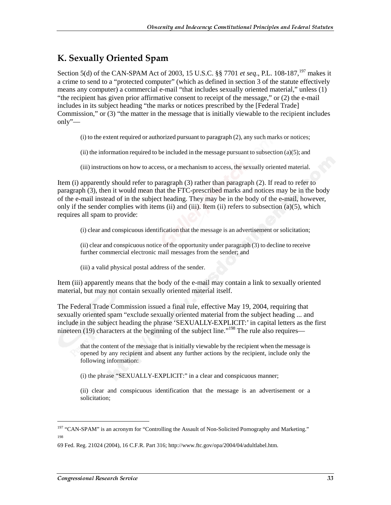## K. Sexually Oriented Spam

Section 5(d) of the CAN-SPAM Act of 2003, 15 U.S.C. §§ 7701 *et seq.*, P.L. 108-187,<sup>197</sup> makes it a crime to send to a "protected computer" (which as defined in section 3 of the statute effectively means any computer) a commercial e-mail "that includes sexually oriented material," unless (1) "the recipient has given prior affirmative consent to receipt of the message," or (2) the e-mail includes in its subject heading "the marks or notices prescribed by the [Federal Trade] Commission," or (3) "the matter in the message that is initially viewable to the recipient includes only"—

(i) to the extent required or authorized pursuant to paragraph (2), any such marks or notices;

(ii) the information required to be included in the message pursuant to subsection  $(a)(5)$ ; and

(iii) instructions on how to access, or a mechanism to access, the sexually oriented material.

Item (i) apparently should refer to paragraph (3) rather than paragraph (2). If read to refer to paragraph (3), then it would mean that the FTC-prescribed marks and notices may be in the body of the e-mail instead of in the subject heading. They may be in the body of the e-mail, however, only if the sender complies with items (ii) and (iii). Item (ii) refers to subsection (a)(5), which requires all spam to provide:

(i) clear and conspicuous identification that the message is an advertisement or solicitation;

(ii) clear and conspicuous notice of the opportunity under paragraph (3) to decline to receive further commercial electronic mail messages from the sender; and

(iii) a valid physical postal address of the sender.

Item (iii) apparently means that the body of the e-mail may contain a link to sexually oriented material, but may not contain sexually oriented material itself.

The Federal Trade Commission issued a final rule, effective May 19, 2004, requiring that sexually oriented spam "exclude sexually oriented material from the subject heading ... and include in the subject heading the phrase 'SEXUALLY-EXPLICIT:' in capital letters as the first nineteen (19) characters at the beginning of the subject line."<sup>198</sup> The rule also requires—

that the content of the message that is initially viewable by the recipient when the message is opened by any recipient and absent any further actions by the recipient, include only the following information:

(i) the phrase "SEXUALLY-EXPLICIT:" in a clear and conspicuous manner;

(ii) clear and conspicuous identification that the message is an advertisement or a solicitation;

<sup>&</sup>lt;sup>197</sup> "CAN-SPAM" is an acronym for "Controlling the Assault of Non-Solicited Pornography and Marketing." 198

<sup>69</sup> Fed. Reg. 21024 (2004), 16 C.F.R. Part 316; http://www.ftc.gov/opa/2004/04/adultlabel.htm.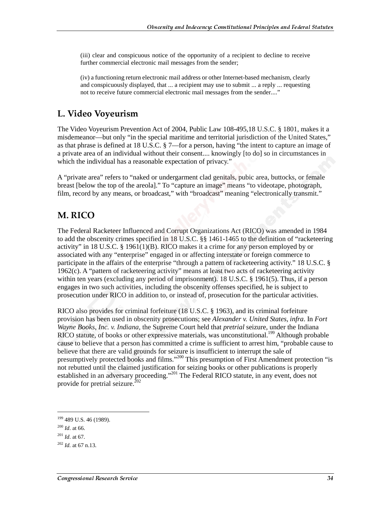(iii) clear and conspicuous notice of the opportunity of a recipient to decline to receive further commercial electronic mail messages from the sender;

(iv) a functioning return electronic mail address or other Internet-based mechanism, clearly and conspicuously displayed, that ... a recipient may use to submit ... a reply ... requesting not to receive future commercial electronic mail messages from the sender...."

## L. Video Voyeurism

The Video Voyeurism Prevention Act of 2004, Public Law 108-495,18 U.S.C. § 1801, makes it a misdemeanor—but only "in the special maritime and territorial jurisdiction of the United States," as that phrase is defined at 18 U.S.C. § 7—for a person, having "the intent to capture an image of a private area of an individual without their consent.... knowingly [to do] so in circumstances in which the individual has a reasonable expectation of privacy."

A "private area" refers to "naked or undergarment clad genitals, pubic area, buttocks, or female breast [below the top of the areola]." To "capture an image" means "to videotape, photograph, film, record by any means, or broadcast," with "broadcast" meaning "electronically transmit."

## M. RICO

The Federal Racketeer Influenced and Corrupt Organizations Act (RICO) was amended in 1984 to add the obscenity crimes specified in 18 U.S.C. §§ 1461-1465 to the definition of "racketeering activity" in 18 U.S.C. § 1961(1)(B). RICO makes it a crime for any person employed by or associated with any "enterprise" engaged in or affecting interstate or foreign commerce to participate in the affairs of the enterprise "through a pattern of racketeering activity." 18 U.S.C. § 1962(c). A "pattern of racketeering activity" means at least two acts of racketeering activity within ten years (excluding any period of imprisonment). 18 U.S.C. § 1961(5). Thus, if a person engages in two such activities, including the obscenity offenses specified, he is subject to prosecution under RICO in addition to, or instead of, prosecution for the particular activities.

RICO also provides for criminal forfeiture (18 U.S.C. § 1963), and its criminal forfeiture provision has been used in obscenity prosecutions; see *Alexander v. United States*, *infra*. In *Fort Wayne Books, Inc. v. Indiana*, the Supreme Court held that *pretrial* seizure, under the Indiana RICO statute, of books or other expressive materials, was unconstitutional.<sup>199</sup> Although probable cause to believe that a person has committed a crime is sufficient to arrest him, "probable cause to believe that there are valid grounds for seizure is insufficient to interrupt the sale of presumptively protected books and films."200 This presumption of First Amendment protection "is not rebutted until the claimed justification for seizing books or other publications is properly established in an adversary proceeding."<sup>201</sup> The Federal RICO statute, in any event, does not provide for pretrial seizure.<sup>202</sup>

<sup>199 489</sup> U.S. 46 (1989).

<sup>200</sup> *Id*. at 66.

<sup>201</sup> *Id*. at 67.

 $^{202}$  *Id.* at 67 n.13.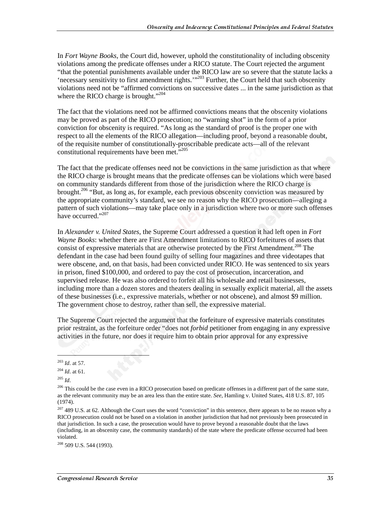In *Fort Wayne Books*, the Court did, however, uphold the constitutionality of including obscenity violations among the predicate offenses under a RICO statute. The Court rejected the argument "that the potential punishments available under the RICO law are so severe that the statute lacks a 'necessary sensitivity to first amendment rights.'"203 Further, the Court held that such obscenity violations need not be "affirmed convictions on successive dates ... in the same jurisdiction as that where the RICO charge is brought."<sup>204</sup>

The fact that the violations need not be affirmed convictions means that the obscenity violations may be proved as part of the RICO prosecution; no "warning shot" in the form of a prior conviction for obscenity is required. "As long as the standard of proof is the proper one with respect to all the elements of the RICO allegation—including proof, beyond a reasonable doubt, of the requisite number of constitutionally-proscribable predicate acts—all of the relevant constitutional requirements have been met."<sup>205</sup>

The fact that the predicate offenses need not be convictions in the same jurisdiction as that where the RICO charge is brought means that the predicate offenses can be violations which were based on community standards different from those of the jurisdiction where the RICO charge is brought.<sup>206</sup> "But, as long as, for example, each previous obscenity conviction was measured by the appropriate community's standard, we see no reason why the RICO prosecution—alleging a pattern of such violations—may take place only in a jurisdiction where two or more such offenses have occurred."<sup>207</sup>

In *Alexander v. United States*, the Supreme Court addressed a question it had left open in *Fort Wayne Books*: whether there are First Amendment limitations to RICO forfeitures of assets that consist of expressive materials that are otherwise protected by the First Amendment.<sup>208</sup> The defendant in the case had been found guilty of selling four magazines and three videotapes that were obscene, and, on that basis, had been convicted under RICO. He was sentenced to six years in prison, fined \$100,000, and ordered to pay the cost of prosecution, incarceration, and supervised release. He was also ordered to forfeit all his wholesale and retail businesses, including more than a dozen stores and theaters dealing in sexually explicit material, all the assets of these businesses (i.e., expressive materials, whether or not obscene), and almost \$9 million. The government chose to destroy, rather than sell, the expressive material.

The Supreme Court rejected the argument that the forfeiture of expressive materials constitutes prior restraint, as the forfeiture order "does not *forbid* petitioner from engaging in any expressive activities in the future, nor does it require him to obtain prior approval for any expressive

l

<sup>203</sup> *Id*. at 57.

<sup>204</sup> *Id*. at 61.

<sup>205</sup> *Id*.

<sup>&</sup>lt;sup>206</sup> This could be the case even in a RICO prosecution based on predicate offenses in a different part of the same state, as the relevant community may be an area less than the entire state. *See*, Hamling v. United States, 418 U.S. 87, 105 (1974).

<sup>&</sup>lt;sup>207</sup> 489 U.S. at 62. Although the Court uses the word "conviction" in this sentence, there appears to be no reason why a RICO prosecution could not be based on a violation in another jurisdiction that had not previously been prosecuted in that jurisdiction. In such a case, the prosecution would have to prove beyond a reasonable doubt that the laws (including, in an obscenity case, the community standards) of the state where the predicate offense occurred had been violated.

<sup>&</sup>lt;sup>208</sup> 509 U.S. 544 (1993).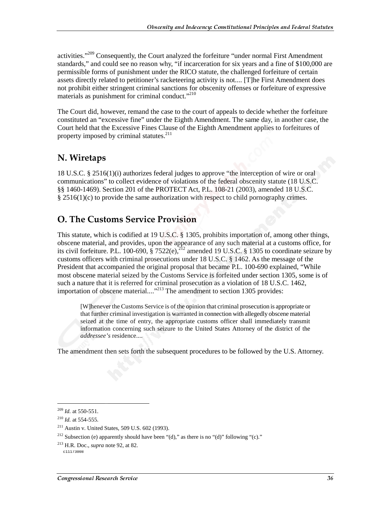activities."<sup>209</sup> Consequently, the Court analyzed the forfeiture "under normal First Amendment" standards," and could see no reason why, "if incarceration for six years and a fine of \$100,000 are permissible forms of punishment under the RICO statute, the challenged forfeiture of certain assets directly related to petitioner's racketeering activity is not.... [T]he First Amendment does not prohibit either stringent criminal sanctions for obscenity offenses or forfeiture of expressive materials as punishment for criminal conduct."<sup>210</sup>

The Court did, however, remand the case to the court of appeals to decide whether the forfeiture constituted an "excessive fine" under the Eighth Amendment. The same day, in another case, the Court held that the Excessive Fines Clause of the Eighth Amendment applies to forfeitures of property imposed by criminal statutes.<sup>211</sup>

## N. Wiretaps

18 U.S.C. § 2516(1)(i) authorizes federal judges to approve "the interception of wire or oral communications" to collect evidence of violations of the federal obscenity statute (18 U.S.C. §§ 1460-1469). Section 201 of the PROTECT Act, P.L. 108-21 (2003), amended 18 U.S.C. § 2516(1)(c) to provide the same authorization with respect to child pornography crimes.

## O. The Customs Service Provision

This statute, which is codified at 19 U.S.C. § 1305, prohibits importation of, among other things, obscene material, and provides, upon the appearance of any such material at a customs office, for its civil forfeiture. P.L. 100-690,  $\hat{\S}$  7522(e),  $^{212}$  amended 19 U.S.C.  $\hat{\S}$  1305 to coordinate seizure by customs officers with criminal prosecutions under 18 U.S.C. § 1462. As the message of the President that accompanied the original proposal that became P.L. 100-690 explained, "While most obscene material seized by the Customs Service is forfeited under section 1305, some is of such a nature that it is referred for criminal prosecution as a violation of 18 U.S.C. 1462, importation of obscene material...."<sup>213</sup> The amendment to section 1305 provides:

[W]henever the Customs Service is of the opinion that criminal prosecution is appropriate or that further criminal investigation is warranted in connection with allegedly obscene material seized at the time of entry, the appropriate customs officer shall immediately transmit information concerning such seizure to the United States Attorney of the district of the *addressee's* residence....

The amendment then sets forth the subsequent procedures to be followed by the U.S. Attorney.

<sup>209</sup> *Id.* at 550-551.

<sup>210</sup> *Id.* at 554-555.

<sup>211</sup> Austin v. United States, 509 U.S. 602 (1993).

<sup>&</sup>lt;sup>212</sup> Subsection (e) apparently should have been "(d)," as there is no "(d)" following "(c)."

<sup>213</sup> H.R. Doc., *supra* note 92, at 82.

c11173008